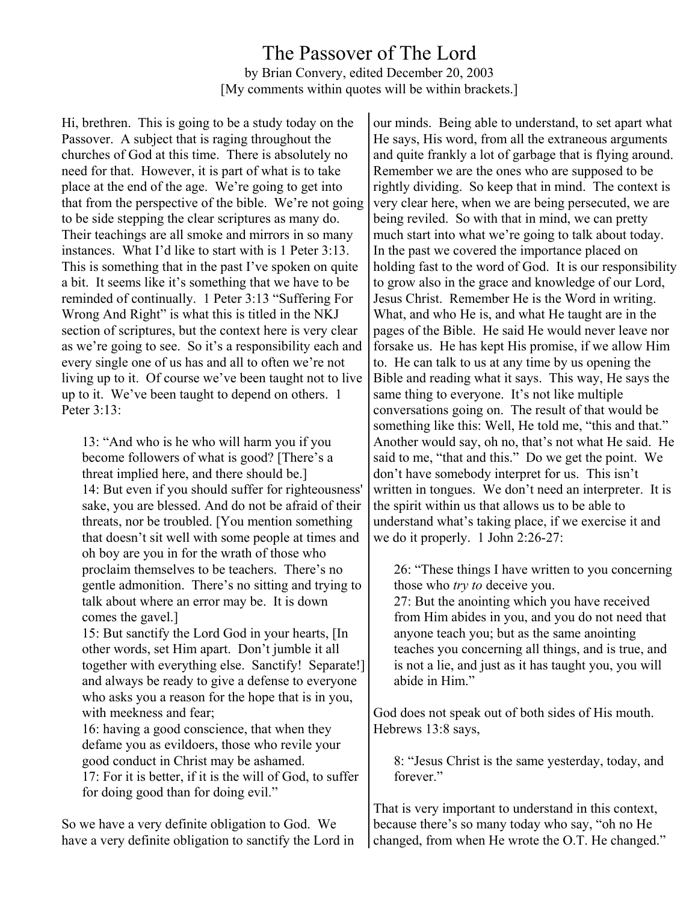## The Passover of The Lord by Brian Convery, edited December 20, 2003 [My comments within quotes will be within brackets.]

Hi, brethren. This is going to be a study today on the Passover. A subject that is raging throughout the churches of God at this time. There is absolutely no need for that. However, it is part of what is to take place at the end of the age. We're going to get into that from the perspective of the bible. We're not going to be side stepping the clear scriptures as many do. Their teachings are all smoke and mirrors in so many instances. What I'd like to start with is 1 Peter 3:13. This is something that in the past I've spoken on quite a bit. It seems like it's something that we have to be reminded of continually. 1 Peter 3:13 "Suffering For Wrong And Right" is what this is titled in the NKJ section of scriptures, but the context here is very clear as we're going to see. So it's a responsibility each and every single one of us has and all to often we're not living up to it. Of course we've been taught not to live up to it. We've been taught to depend on others. 1 Peter 3:13:

13: "And who is he who will harm you if you become followers of what is good? [There's a threat implied here, and there should be.] 14: But even if you should suffer for righteousness' sake, you are blessed. And do not be afraid of their threats, nor be troubled. [You mention something that doesn't sit well with some people at times and oh boy are you in for the wrath of those who proclaim themselves to be teachers. There's no gentle admonition. There's no sitting and trying to talk about where an error may be. It is down comes the gavel.]

15: But sanctify the Lord God in your hearts, [In other words, set Him apart. Don't jumble it all together with everything else. Sanctify! Separate!] and always be ready to give a defense to everyone who asks you a reason for the hope that is in you, with meekness and fear;

16: having a good conscience, that when they defame you as evildoers, those who revile your good conduct in Christ may be ashamed. 17: For it is better, if it is the will of God, to suffer for doing good than for doing evil."

So we have a very definite obligation to God. We have a very definite obligation to sanctify the Lord in our minds. Being able to understand, to set apart what He says, His word, from all the extraneous arguments and quite frankly a lot of garbage that is flying around. Remember we are the ones who are supposed to be rightly dividing. So keep that in mind. The context is very clear here, when we are being persecuted, we are being reviled. So with that in mind, we can pretty much start into what we're going to talk about today. In the past we covered the importance placed on holding fast to the word of God. It is our responsibility to grow also in the grace and knowledge of our Lord, Jesus Christ. Remember He is the Word in writing. What, and who He is, and what He taught are in the pages of the Bible. He said He would never leave nor forsake us. He has kept His promise, if we allow Him to. He can talk to us at any time by us opening the Bible and reading what it says. This way, He says the same thing to everyone. It's not like multiple conversations going on. The result of that would be something like this: Well, He told me, "this and that." Another would say, oh no, that's not what He said. He said to me, "that and this." Do we get the point. We don't have somebody interpret for us. This isn't written in tongues. We don't need an interpreter. It is the spirit within us that allows us to be able to understand what's taking place, if we exercise it and we do it properly. 1 John 2:26-27:

26: "These things I have written to you concerning those who *try to* deceive you.

27: But the anointing which you have received from Him abides in you, and you do not need that anyone teach you; but as the same anointing teaches you concerning all things, and is true, and is not a lie, and just as it has taught you, you will abide in Him."

God does not speak out of both sides of His mouth. Hebrews 13:8 says,

8: "Jesus Christ is the same yesterday, today, and forever."

That is very important to understand in this context, because there's so many today who say, "oh no He changed, from when He wrote the O.T. He changed."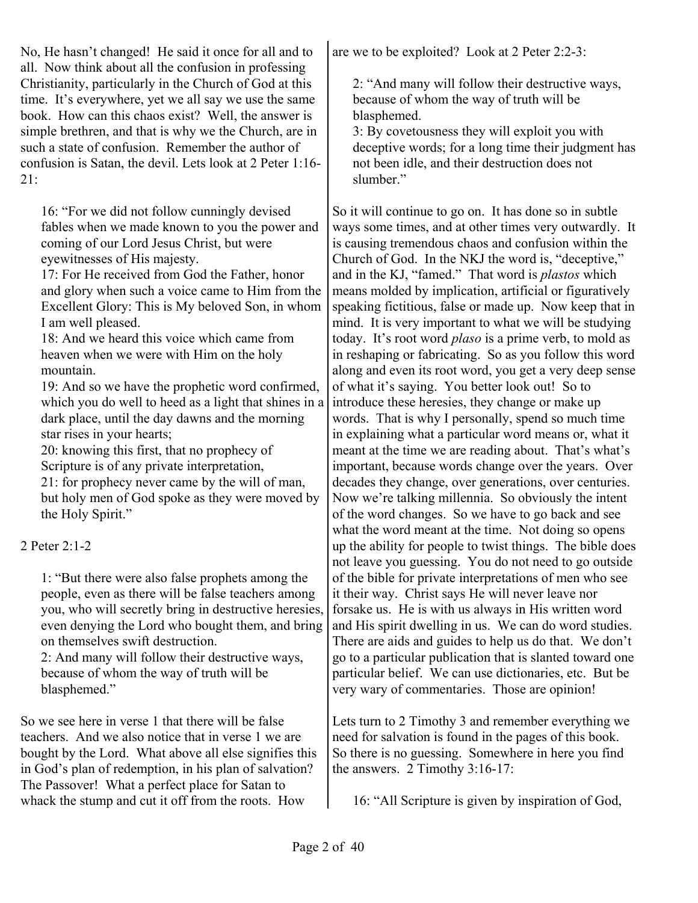No, He hasn't changed! He said it once for all and to all. Now think about all the confusion in professing Christianity, particularly in the Church of God at this time. It's everywhere, yet we all say we use the same book. How can this chaos exist? Well, the answer is simple brethren, and that is why we the Church, are in such a state of confusion. Remember the author of confusion is Satan, the devil. Lets look at 2 Peter 1:16- 21:

16: "For we did not follow cunningly devised fables when we made known to you the power and coming of our Lord Jesus Christ, but were eyewitnesses of His majesty.

17: For He received from God the Father, honor and glory when such a voice came to Him from the Excellent Glory: This is My beloved Son, in whom I am well pleased.

18: And we heard this voice which came from heaven when we were with Him on the holy mountain.

19: And so we have the prophetic word confirmed, which you do well to heed as a light that shines in a dark place, until the day dawns and the morning star rises in your hearts;

20: knowing this first, that no prophecy of Scripture is of any private interpretation,

21: for prophecy never came by the will of man, but holy men of God spoke as they were moved by the Holy Spirit."

#### 2 Peter 2:1-2

1: "But there were also false prophets among the people, even as there will be false teachers among you, who will secretly bring in destructive heresies, even denying the Lord who bought them, and bring on themselves swift destruction.

2: And many will follow their destructive ways, because of whom the way of truth will be blasphemed."

So we see here in verse 1 that there will be false teachers. And we also notice that in verse 1 we are bought by the Lord. What above all else signifies this in God's plan of redemption, in his plan of salvation? The Passover! What a perfect place for Satan to whack the stump and cut it off from the roots. How

are we to be exploited? Look at 2 Peter 2:2-3:

2: "And many will follow their destructive ways, because of whom the way of truth will be blasphemed.

3: By covetousness they will exploit you with deceptive words; for a long time their judgment has not been idle, and their destruction does not slumber."

So it will continue to go on. It has done so in subtle ways some times, and at other times very outwardly. It is causing tremendous chaos and confusion within the Church of God. In the NKJ the word is, "deceptive," and in the KJ, "famed." That word is *plastos* which means molded by implication, artificial or figuratively speaking fictitious, false or made up. Now keep that in mind. It is very important to what we will be studying today. It's root word *plaso* is a prime verb, to mold as in reshaping or fabricating. So as you follow this word along and even its root word, you get a very deep sense of what it's saying. You better look out! So to introduce these heresies, they change or make up words. That is why I personally, spend so much time in explaining what a particular word means or, what it meant at the time we are reading about. That's what's important, because words change over the years. Over decades they change, over generations, over centuries. Now we're talking millennia. So obviously the intent of the word changes. So we have to go back and see what the word meant at the time. Not doing so opens up the ability for people to twist things. The bible does not leave you guessing. You do not need to go outside of the bible for private interpretations of men who see it their way. Christ says He will never leave nor forsake us. He is with us always in His written word and His spirit dwelling in us. We can do word studies. There are aids and guides to help us do that. We don't go to a particular publication that is slanted toward one particular belief. We can use dictionaries, etc. But be very wary of commentaries. Those are opinion!

Lets turn to 2 Timothy 3 and remember everything we need for salvation is found in the pages of this book. So there is no guessing. Somewhere in here you find the answers. 2 Timothy 3:16-17:

16: "All Scripture is given by inspiration of God,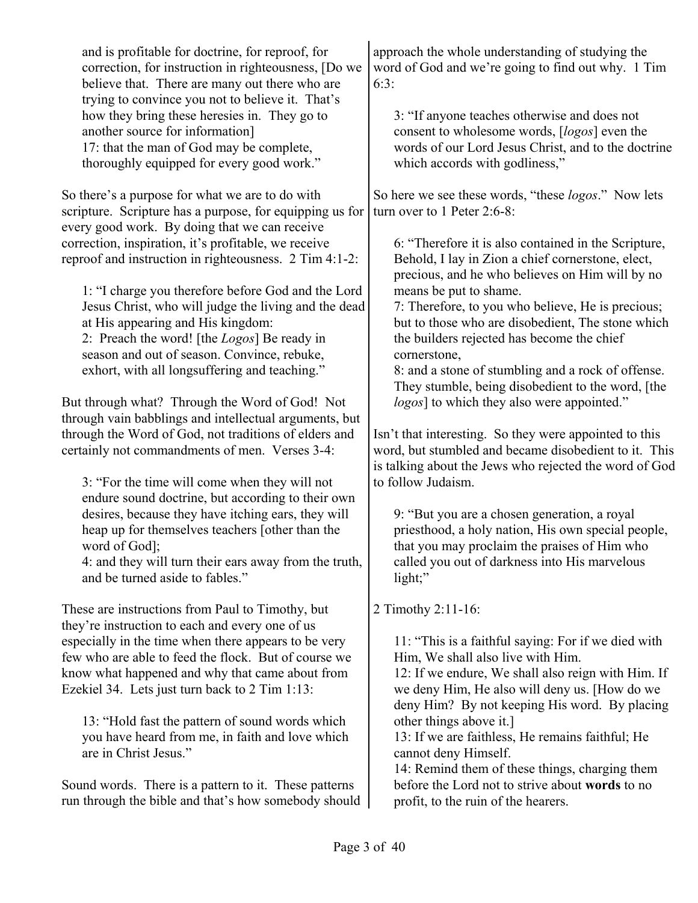| and is profitable for doctrine, for reproof, for<br>correction, for instruction in righteousness, [Do we<br>believe that. There are many out there who are<br>trying to convince you not to believe it. That's<br>how they bring these heresies in. They go to<br>another source for information]<br>17: that the man of God may be complete,<br>thoroughly equipped for every good work."                                                                                                                                                                                                                                                                                                                                                                                                                                                                                                                                                                                                                                                                                                                                                  | approach the whole understanding of studying the<br>word of God and we're going to find out why. 1 Tim<br>6:3:<br>3: "If anyone teaches otherwise and does not<br>consent to wholesome words, [logos] even the<br>words of our Lord Jesus Christ, and to the doctrine<br>which accords with godliness,"                                                                                                                                                                                                                                                                                                                                                                                                                                                                                                                                                                                                                                                                                                                                    |
|---------------------------------------------------------------------------------------------------------------------------------------------------------------------------------------------------------------------------------------------------------------------------------------------------------------------------------------------------------------------------------------------------------------------------------------------------------------------------------------------------------------------------------------------------------------------------------------------------------------------------------------------------------------------------------------------------------------------------------------------------------------------------------------------------------------------------------------------------------------------------------------------------------------------------------------------------------------------------------------------------------------------------------------------------------------------------------------------------------------------------------------------|--------------------------------------------------------------------------------------------------------------------------------------------------------------------------------------------------------------------------------------------------------------------------------------------------------------------------------------------------------------------------------------------------------------------------------------------------------------------------------------------------------------------------------------------------------------------------------------------------------------------------------------------------------------------------------------------------------------------------------------------------------------------------------------------------------------------------------------------------------------------------------------------------------------------------------------------------------------------------------------------------------------------------------------------|
| So there's a purpose for what we are to do with<br>scripture. Scripture has a purpose, for equipping us for<br>every good work. By doing that we can receive<br>correction, inspiration, it's profitable, we receive<br>reproof and instruction in righteousness. 2 Tim 4:1-2:<br>1: "I charge you therefore before God and the Lord<br>Jesus Christ, who will judge the living and the dead<br>at His appearing and His kingdom:<br>2: Preach the word! [the <i>Logos</i> ] Be ready in<br>season and out of season. Convince, rebuke,<br>exhort, with all longsuffering and teaching."<br>But through what? Through the Word of God! Not<br>through vain babblings and intellectual arguments, but<br>through the Word of God, not traditions of elders and<br>certainly not commandments of men. Verses 3-4:<br>3: "For the time will come when they will not<br>endure sound doctrine, but according to their own<br>desires, because they have itching ears, they will<br>heap up for themselves teachers [other than the<br>word of God];<br>4: and they will turn their ears away from the truth,<br>and be turned aside to fables." | So here we see these words, "these <i>logos</i> ." Now lets<br>turn over to 1 Peter 2:6-8:<br>6: "Therefore it is also contained in the Scripture,<br>Behold, I lay in Zion a chief cornerstone, elect,<br>precious, and he who believes on Him will by no<br>means be put to shame.<br>7: Therefore, to you who believe, He is precious;<br>but to those who are disobedient, The stone which<br>the builders rejected has become the chief<br>cornerstone,<br>8: and a stone of stumbling and a rock of offense.<br>They stumble, being disobedient to the word, [the<br>logos] to which they also were appointed."<br>Isn't that interesting. So they were appointed to this<br>word, but stumbled and became disobedient to it. This<br>is talking about the Jews who rejected the word of God<br>to follow Judaism.<br>9: "But you are a chosen generation, a royal<br>priesthood, a holy nation, His own special people,<br>that you may proclaim the praises of Him who<br>called you out of darkness into His marvelous<br>light;" |
| These are instructions from Paul to Timothy, but<br>they're instruction to each and every one of us<br>especially in the time when there appears to be very<br>few who are able to feed the flock. But of course we<br>know what happened and why that came about from<br>Ezekiel 34. Lets just turn back to 2 Tim 1:13:<br>13: "Hold fast the pattern of sound words which<br>you have heard from me, in faith and love which<br>are in Christ Jesus."                                                                                                                                                                                                                                                                                                                                                                                                                                                                                                                                                                                                                                                                                     | 2 Timothy 2:11-16:<br>11: "This is a faithful saying: For if we died with<br>Him, We shall also live with Him.<br>12: If we endure, We shall also reign with Him. If<br>we deny Him, He also will deny us. [How do we<br>deny Him? By not keeping His word. By placing<br>other things above it.]<br>13: If we are faithless, He remains faithful; He<br>cannot deny Himself.<br>14: Remind them of these things, charging them                                                                                                                                                                                                                                                                                                                                                                                                                                                                                                                                                                                                            |

Sound words. There is a pattern to it. These patterns run through the bible and that's how somebody should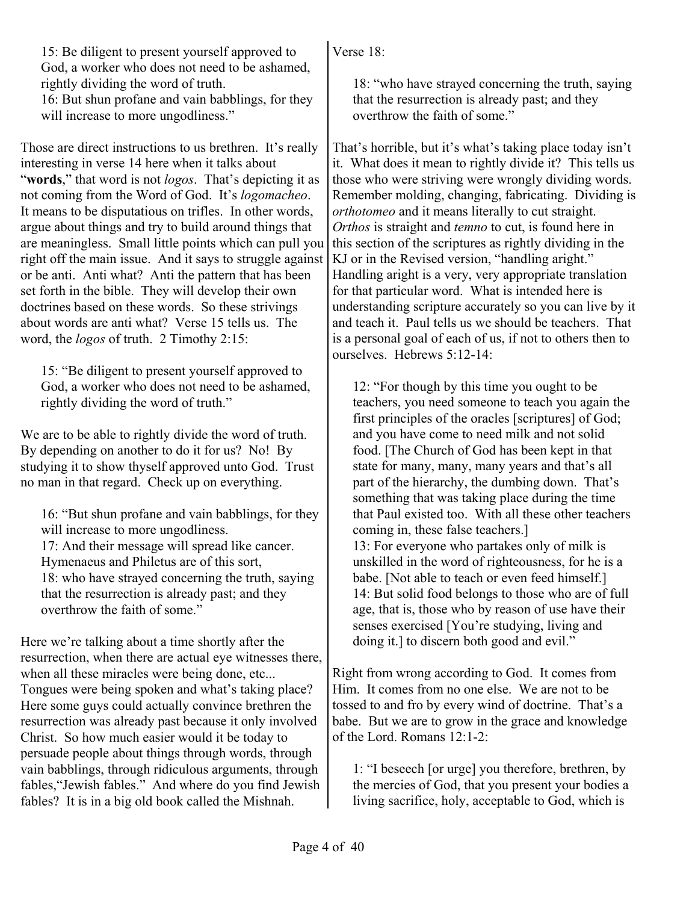15: Be diligent to present yourself approved to God, a worker who does not need to be ashamed, rightly dividing the word of truth.

16: But shun profane and vain babblings, for they will increase to more ungodliness."

Those are direct instructions to us brethren. It's really interesting in verse 14 here when it talks about "**words**," that word is not *logos*. That's depicting it as not coming from the Word of God. It's *logomacheo*. It means to be disputatious on trifles. In other words, argue about things and try to build around things that are meaningless. Small little points which can pull you right off the main issue. And it says to struggle against or be anti. Anti what? Anti the pattern that has been set forth in the bible. They will develop their own doctrines based on these words. So these strivings about words are anti what? Verse 15 tells us. The word, the *logos* of truth. 2 Timothy 2:15:

15: "Be diligent to present yourself approved to God, a worker who does not need to be ashamed, rightly dividing the word of truth."

We are to be able to rightly divide the word of truth. By depending on another to do it for us? No! By studying it to show thyself approved unto God. Trust no man in that regard. Check up on everything.

16: "But shun profane and vain babblings, for they will increase to more ungodliness. 17: And their message will spread like cancer. Hymenaeus and Philetus are of this sort, 18: who have strayed concerning the truth, saying that the resurrection is already past; and they overthrow the faith of some."

Here we're talking about a time shortly after the resurrection, when there are actual eye witnesses there, when all these miracles were being done, etc... Tongues were being spoken and what's taking place? Here some guys could actually convince brethren the resurrection was already past because it only involved Christ. So how much easier would it be today to persuade people about things through words, through vain babblings, through ridiculous arguments, through fables,"Jewish fables." And where do you find Jewish fables? It is in a big old book called the Mishnah.

Verse 18:

18: "who have strayed concerning the truth, saying that the resurrection is already past; and they overthrow the faith of some."

That's horrible, but it's what's taking place today isn't it. What does it mean to rightly divide it? This tells us those who were striving were wrongly dividing words. Remember molding, changing, fabricating. Dividing is *orthotomeo* and it means literally to cut straight. *Orthos* is straight and *temno* to cut, is found here in this section of the scriptures as rightly dividing in the KJ or in the Revised version, "handling aright." Handling aright is a very, very appropriate translation for that particular word. What is intended here is understanding scripture accurately so you can live by it and teach it. Paul tells us we should be teachers. That is a personal goal of each of us, if not to others then to ourselves. Hebrews 5:12-14:

12: "For though by this time you ought to be teachers, you need someone to teach you again the first principles of the oracles [scriptures] of God; and you have come to need milk and not solid food. [The Church of God has been kept in that state for many, many, many years and that's all part of the hierarchy, the dumbing down. That's something that was taking place during the time that Paul existed too. With all these other teachers coming in, these false teachers.] 13: For everyone who partakes only of milk is unskilled in the word of righteousness, for he is a babe. [Not able to teach or even feed himself.] 14: But solid food belongs to those who are of full age, that is, those who by reason of use have their senses exercised [You're studying, living and doing it.] to discern both good and evil."

Right from wrong according to God. It comes from Him. It comes from no one else. We are not to be tossed to and fro by every wind of doctrine. That's a babe. But we are to grow in the grace and knowledge of the Lord. Romans 12:1-2:

1: "I beseech [or urge] you therefore, brethren, by the mercies of God, that you present your bodies a living sacrifice, holy, acceptable to God, which is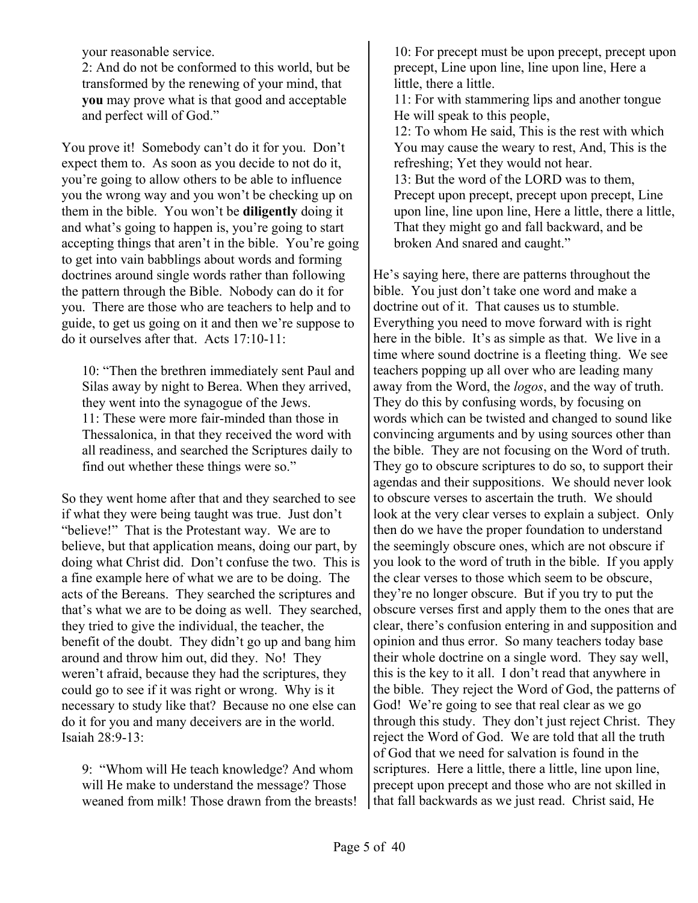your reasonable service.

2: And do not be conformed to this world, but be transformed by the renewing of your mind, that **you** may prove what is that good and acceptable and perfect will of God."

You prove it! Somebody can't do it for you. Don't expect them to. As soon as you decide to not do it, you're going to allow others to be able to influence you the wrong way and you won't be checking up on them in the bible. You won't be **diligently** doing it and what's going to happen is, you're going to start accepting things that aren't in the bible. You're going to get into vain babblings about words and forming doctrines around single words rather than following the pattern through the Bible. Nobody can do it for you. There are those who are teachers to help and to guide, to get us going on it and then we're suppose to do it ourselves after that. Acts 17:10-11:

10: "Then the brethren immediately sent Paul and Silas away by night to Berea. When they arrived, they went into the synagogue of the Jews. 11: These were more fair-minded than those in Thessalonica, in that they received the word with all readiness, and searched the Scriptures daily to find out whether these things were so."

So they went home after that and they searched to see if what they were being taught was true. Just don't "believe!" That is the Protestant way. We are to believe, but that application means, doing our part, by doing what Christ did. Don't confuse the two. This is a fine example here of what we are to be doing. The acts of the Bereans. They searched the scriptures and that's what we are to be doing as well. They searched, they tried to give the individual, the teacher, the benefit of the doubt. They didn't go up and bang him around and throw him out, did they. No! They weren't afraid, because they had the scriptures, they could go to see if it was right or wrong. Why is it necessary to study like that? Because no one else can do it for you and many deceivers are in the world. Isaiah 28:9-13:

9: "Whom will He teach knowledge? And whom will He make to understand the message? Those weaned from milk! Those drawn from the breasts!

10: For precept must be upon precept, precept upon precept, Line upon line, line upon line, Here a little, there a little.

11: For with stammering lips and another tongue He will speak to this people,

12: To whom He said, This is the rest with which You may cause the weary to rest, And, This is the refreshing; Yet they would not hear.

13: But the word of the LORD was to them, Precept upon precept, precept upon precept, Line upon line, line upon line, Here a little, there a little, That they might go and fall backward, and be broken And snared and caught."

He's saying here, there are patterns throughout the bible. You just don't take one word and make a doctrine out of it. That causes us to stumble. Everything you need to move forward with is right here in the bible. It's as simple as that. We live in a time where sound doctrine is a fleeting thing. We see teachers popping up all over who are leading many away from the Word, the *logos*, and the way of truth. They do this by confusing words, by focusing on words which can be twisted and changed to sound like convincing arguments and by using sources other than the bible. They are not focusing on the Word of truth. They go to obscure scriptures to do so, to support their agendas and their suppositions. We should never look to obscure verses to ascertain the truth. We should look at the very clear verses to explain a subject. Only then do we have the proper foundation to understand the seemingly obscure ones, which are not obscure if you look to the word of truth in the bible. If you apply the clear verses to those which seem to be obscure, they're no longer obscure. But if you try to put the obscure verses first and apply them to the ones that are clear, there's confusion entering in and supposition and opinion and thus error. So many teachers today base their whole doctrine on a single word. They say well, this is the key to it all. I don't read that anywhere in the bible. They reject the Word of God, the patterns of God! We're going to see that real clear as we go through this study. They don't just reject Christ. They reject the Word of God. We are told that all the truth of God that we need for salvation is found in the scriptures. Here a little, there a little, line upon line, precept upon precept and those who are not skilled in that fall backwards as we just read. Christ said, He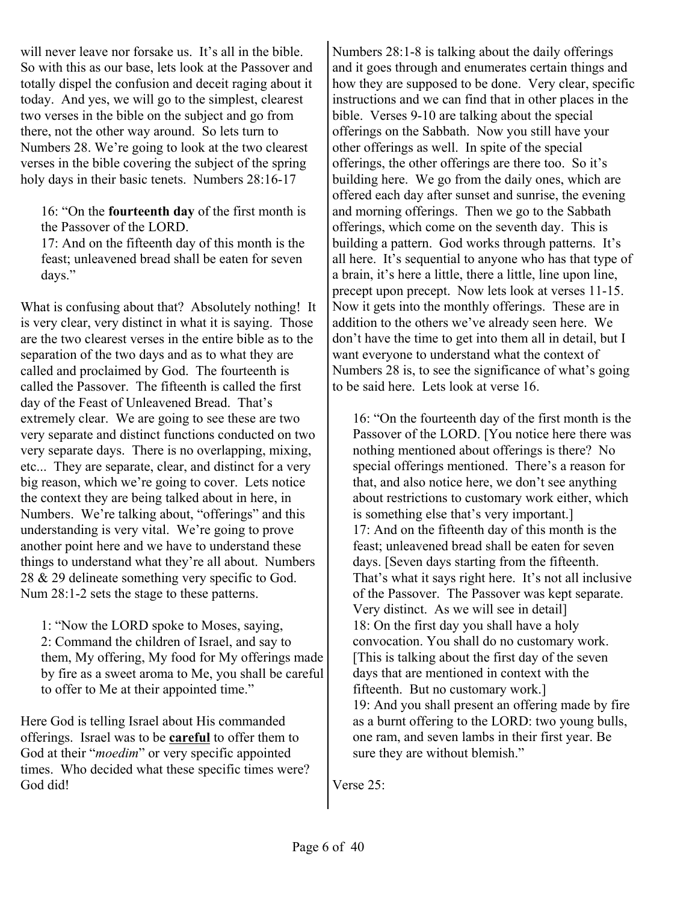will never leave nor forsake us. It's all in the bible. So with this as our base, lets look at the Passover and totally dispel the confusion and deceit raging about it today. And yes, we will go to the simplest, clearest two verses in the bible on the subject and go from there, not the other way around. So lets turn to Numbers 28. We're going to look at the two clearest verses in the bible covering the subject of the spring holy days in their basic tenets. Numbers 28:16-17

16: "On the **fourteenth day** of the first month is the Passover of the LORD.

17: And on the fifteenth day of this month is the feast; unleavened bread shall be eaten for seven days."

What is confusing about that? Absolutely nothing! It is very clear, very distinct in what it is saying. Those are the two clearest verses in the entire bible as to the separation of the two days and as to what they are called and proclaimed by God. The fourteenth is called the Passover. The fifteenth is called the first day of the Feast of Unleavened Bread. That's extremely clear. We are going to see these are two very separate and distinct functions conducted on two very separate days. There is no overlapping, mixing, etc... They are separate, clear, and distinct for a very big reason, which we're going to cover. Lets notice the context they are being talked about in here, in Numbers. We're talking about, "offerings" and this understanding is very vital. We're going to prove another point here and we have to understand these things to understand what they're all about. Numbers 28 & 29 delineate something very specific to God. Num 28:1-2 sets the stage to these patterns.

1: "Now the LORD spoke to Moses, saying, 2: Command the children of Israel, and say to them, My offering, My food for My offerings made by fire as a sweet aroma to Me, you shall be careful to offer to Me at their appointed time."

Here God is telling Israel about His commanded offerings. Israel was to be **careful** to offer them to God at their "*moedim*" or very specific appointed times. Who decided what these specific times were? God did!

Numbers 28:1-8 is talking about the daily offerings and it goes through and enumerates certain things and how they are supposed to be done. Very clear, specific instructions and we can find that in other places in the bible. Verses 9-10 are talking about the special offerings on the Sabbath. Now you still have your other offerings as well. In spite of the special offerings, the other offerings are there too. So it's building here. We go from the daily ones, which are offered each day after sunset and sunrise, the evening and morning offerings. Then we go to the Sabbath offerings, which come on the seventh day. This is building a pattern. God works through patterns. It's all here. It's sequential to anyone who has that type of a brain, it's here a little, there a little, line upon line, precept upon precept. Now lets look at verses 11-15. Now it gets into the monthly offerings. These are in addition to the others we've already seen here. We don't have the time to get into them all in detail, but I want everyone to understand what the context of Numbers 28 is, to see the significance of what's going to be said here. Lets look at verse 16.

16: "On the fourteenth day of the first month is the Passover of the LORD. [You notice here there was nothing mentioned about offerings is there? No special offerings mentioned. There's a reason for that, and also notice here, we don't see anything about restrictions to customary work either, which is something else that's very important.] 17: And on the fifteenth day of this month is the feast; unleavened bread shall be eaten for seven days. [Seven days starting from the fifteenth. That's what it says right here. It's not all inclusive of the Passover. The Passover was kept separate. Very distinct. As we will see in detail] 18: On the first day you shall have a holy convocation. You shall do no customary work. [This is talking about the first day of the seven days that are mentioned in context with the fifteenth. But no customary work.] 19: And you shall present an offering made by fire as a burnt offering to the LORD: two young bulls, one ram, and seven lambs in their first year. Be sure they are without blemish."

Verse 25: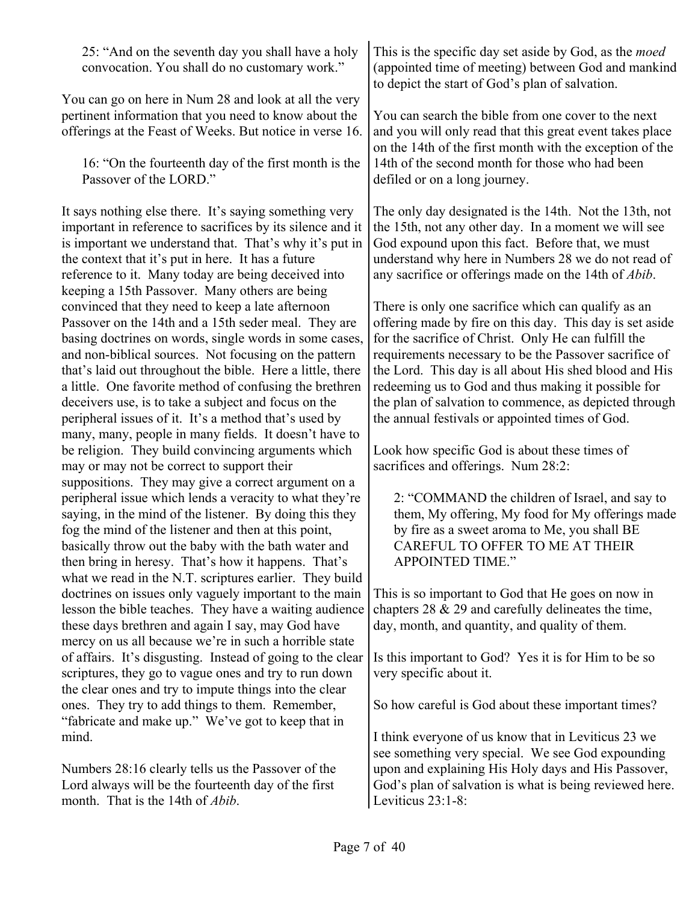25: "And on the seventh day you shall have a holy convocation. You shall do no customary work."

You can go on here in Num 28 and look at all the very pertinent information that you need to know about the offerings at the Feast of Weeks. But notice in verse 16.

16: "On the fourteenth day of the first month is the Passover of the LORD."

It says nothing else there. It's saying something very important in reference to sacrifices by its silence and it is important we understand that. That's why it's put in the context that it's put in here. It has a future reference to it. Many today are being deceived into keeping a 15th Passover. Many others are being convinced that they need to keep a late afternoon Passover on the 14th and a 15th seder meal. They are basing doctrines on words, single words in some cases, and non-biblical sources. Not focusing on the pattern that's laid out throughout the bible. Here a little, there a little. One favorite method of confusing the brethren deceivers use, is to take a subject and focus on the peripheral issues of it. It's a method that's used by many, many, people in many fields. It doesn't have to be religion. They build convincing arguments which may or may not be correct to support their suppositions. They may give a correct argument on a peripheral issue which lends a veracity to what they're saying, in the mind of the listener. By doing this they fog the mind of the listener and then at this point, basically throw out the baby with the bath water and then bring in heresy. That's how it happens. That's what we read in the N.T. scriptures earlier. They build doctrines on issues only vaguely important to the main lesson the bible teaches. They have a waiting audience these days brethren and again I say, may God have mercy on us all because we're in such a horrible state of affairs. It's disgusting. Instead of going to the clear scriptures, they go to vague ones and try to run down the clear ones and try to impute things into the clear ones. They try to add things to them. Remember, "fabricate and make up." We've got to keep that in mind.

Numbers 28:16 clearly tells us the Passover of the Lord always will be the fourteenth day of the first month. That is the 14th of *Abib*.

This is the specific day set aside by God, as the *moed* (appointed time of meeting) between God and mankind to depict the start of God's plan of salvation.

You can search the bible from one cover to the next and you will only read that this great event takes place on the 14th of the first month with the exception of the 14th of the second month for those who had been defiled or on a long journey.

The only day designated is the 14th. Not the 13th, not the 15th, not any other day. In a moment we will see God expound upon this fact. Before that, we must understand why here in Numbers 28 we do not read of any sacrifice or offerings made on the 14th of *Abib*.

There is only one sacrifice which can qualify as an offering made by fire on this day. This day is set aside for the sacrifice of Christ. Only He can fulfill the requirements necessary to be the Passover sacrifice of the Lord. This day is all about His shed blood and His redeeming us to God and thus making it possible for the plan of salvation to commence, as depicted through the annual festivals or appointed times of God.

Look how specific God is about these times of sacrifices and offerings. Num 28:2:

2: "COMMAND the children of Israel, and say to them, My offering, My food for My offerings made by fire as a sweet aroma to Me, you shall BE CAREFUL TO OFFER TO ME AT THEIR APPOINTED TIME."

This is so important to God that He goes on now in chapters 28 & 29 and carefully delineates the time, day, month, and quantity, and quality of them.

Is this important to God? Yes it is for Him to be so very specific about it.

So how careful is God about these important times?

I think everyone of us know that in Leviticus 23 we see something very special. We see God expounding upon and explaining His Holy days and His Passover, God's plan of salvation is what is being reviewed here. Leviticus 23:1-8: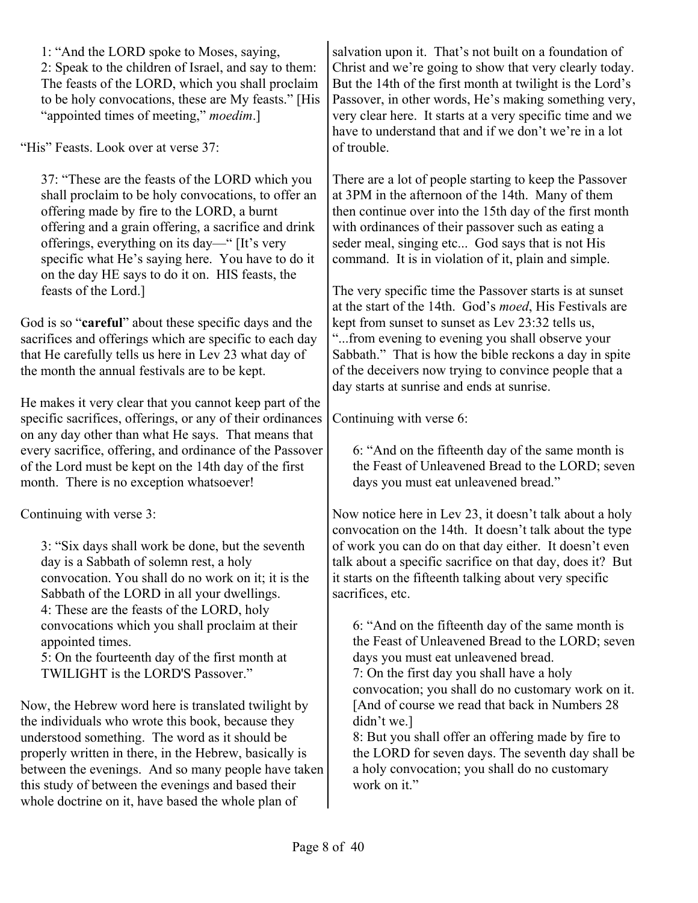1: "And the LORD spoke to Moses, saying, 2: Speak to the children of Israel, and say to them: The feasts of the LORD, which you shall proclaim to be holy convocations, these are My feasts." [His "appointed times of meeting," *moedim*.]

"His" Feasts. Look over at verse 37:

37: "These are the feasts of the LORD which you shall proclaim to be holy convocations, to offer an offering made by fire to the LORD, a burnt offering and a grain offering, a sacrifice and drink offerings, everything on its day—" [It's very specific what He's saying here. You have to do it on the day HE says to do it on. HIS feasts, the feasts of the Lord.]

God is so "**careful**" about these specific days and the sacrifices and offerings which are specific to each day that He carefully tells us here in Lev 23 what day of the month the annual festivals are to be kept.

He makes it very clear that you cannot keep part of the specific sacrifices, offerings, or any of their ordinances on any day other than what He says. That means that every sacrifice, offering, and ordinance of the Passover of the Lord must be kept on the 14th day of the first month. There is no exception whatsoever!

Continuing with verse 3:

3: "Six days shall work be done, but the seventh day is a Sabbath of solemn rest, a holy convocation. You shall do no work on it; it is the Sabbath of the LORD in all your dwellings. 4: These are the feasts of the LORD, holy convocations which you shall proclaim at their appointed times.

5: On the fourteenth day of the first month at TWILIGHT is the LORD'S Passover."

Now, the Hebrew word here is translated twilight by the individuals who wrote this book, because they understood something. The word as it should be properly written in there, in the Hebrew, basically is between the evenings. And so many people have taken this study of between the evenings and based their whole doctrine on it, have based the whole plan of

salvation upon it. That's not built on a foundation of Christ and we're going to show that very clearly today. But the 14th of the first month at twilight is the Lord's Passover, in other words, He's making something very, very clear here. It starts at a very specific time and we have to understand that and if we don't we're in a lot of trouble.

There are a lot of people starting to keep the Passover at 3PM in the afternoon of the 14th. Many of them then continue over into the 15th day of the first month with ordinances of their passover such as eating a seder meal, singing etc... God says that is not His command. It is in violation of it, plain and simple.

The very specific time the Passover starts is at sunset at the start of the 14th. God's *moed*, His Festivals are kept from sunset to sunset as Lev 23:32 tells us, "...from evening to evening you shall observe your Sabbath." That is how the bible reckons a day in spite of the deceivers now trying to convince people that a day starts at sunrise and ends at sunrise.

Continuing with verse 6:

6: "And on the fifteenth day of the same month is the Feast of Unleavened Bread to the LORD; seven days you must eat unleavened bread."

Now notice here in Lev 23, it doesn't talk about a holy convocation on the 14th. It doesn't talk about the type of work you can do on that day either. It doesn't even talk about a specific sacrifice on that day, does it? But it starts on the fifteenth talking about very specific sacrifices, etc.

6: "And on the fifteenth day of the same month is the Feast of Unleavened Bread to the LORD; seven days you must eat unleavened bread. 7: On the first day you shall have a holy convocation; you shall do no customary work on it. [And of course we read that back in Numbers 28 didn't we.]

8: But you shall offer an offering made by fire to the LORD for seven days. The seventh day shall be a holy convocation; you shall do no customary work on it."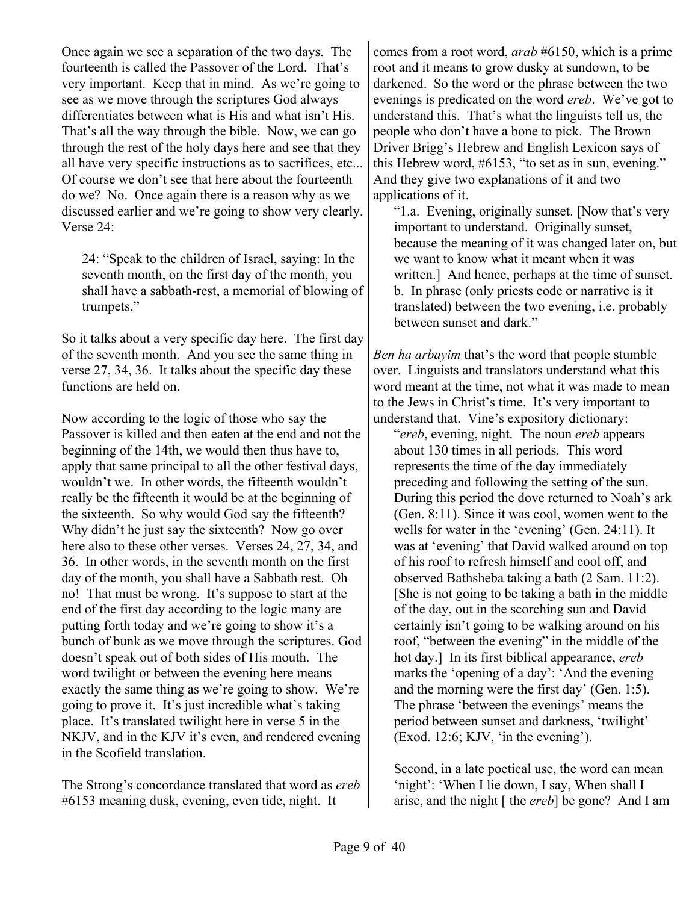Once again we see a separation of the two days. The fourteenth is called the Passover of the Lord. That's very important. Keep that in mind. As we're going to see as we move through the scriptures God always differentiates between what is His and what isn't His. That's all the way through the bible. Now, we can go through the rest of the holy days here and see that they all have very specific instructions as to sacrifices, etc... Of course we don't see that here about the fourteenth do we? No. Once again there is a reason why as we discussed earlier and we're going to show very clearly. Verse 24:

24: "Speak to the children of Israel, saying: In the seventh month, on the first day of the month, you shall have a sabbath-rest, a memorial of blowing of trumpets,"

So it talks about a very specific day here. The first day of the seventh month. And you see the same thing in verse 27, 34, 36. It talks about the specific day these functions are held on.

Now according to the logic of those who say the Passover is killed and then eaten at the end and not the beginning of the 14th, we would then thus have to, apply that same principal to all the other festival days, wouldn't we. In other words, the fifteenth wouldn't really be the fifteenth it would be at the beginning of the sixteenth. So why would God say the fifteenth? Why didn't he just say the sixteenth? Now go over here also to these other verses. Verses 24, 27, 34, and 36. In other words, in the seventh month on the first day of the month, you shall have a Sabbath rest. Oh no! That must be wrong. It's suppose to start at the end of the first day according to the logic many are putting forth today and we're going to show it's a bunch of bunk as we move through the scriptures. God doesn't speak out of both sides of His mouth. The word twilight or between the evening here means exactly the same thing as we're going to show. We're going to prove it. It's just incredible what's taking place. It's translated twilight here in verse 5 in the NKJV, and in the KJV it's even, and rendered evening in the Scofield translation.

The Strong's concordance translated that word as *ereb* #6153 meaning dusk, evening, even tide, night. It

comes from a root word, *arab* #6150, which is a prime root and it means to grow dusky at sundown, to be darkened. So the word or the phrase between the two evenings is predicated on the word *ereb*. We've got to understand this. That's what the linguists tell us, the people who don't have a bone to pick. The Brown Driver Brigg's Hebrew and English Lexicon says of this Hebrew word, #6153, "to set as in sun, evening." And they give two explanations of it and two applications of it.

"1.a. Evening, originally sunset. [Now that's very important to understand. Originally sunset, because the meaning of it was changed later on, but we want to know what it meant when it was written.] And hence, perhaps at the time of sunset. b. In phrase (only priests code or narrative is it translated) between the two evening, i.e. probably between sunset and dark."

*Ben ha arbayim* that's the word that people stumble over. Linguists and translators understand what this word meant at the time, not what it was made to mean to the Jews in Christ's time. It's very important to understand that. Vine's expository dictionary:

"*ereb*, evening, night. The noun *ereb* appears about 130 times in all periods. This word represents the time of the day immediately preceding and following the setting of the sun. During this period the dove returned to Noah's ark (Gen. 8:11). Since it was cool, women went to the wells for water in the 'evening' (Gen. 24:11). It was at 'evening' that David walked around on top of his roof to refresh himself and cool off, and observed Bathsheba taking a bath (2 Sam. 11:2). [She is not going to be taking a bath in the middle of the day, out in the scorching sun and David certainly isn't going to be walking around on his roof, "between the evening" in the middle of the hot day.] In its first biblical appearance, *ereb* marks the 'opening of a day': 'And the evening and the morning were the first day' (Gen. 1:5). The phrase 'between the evenings' means the period between sunset and darkness, 'twilight' (Exod. 12:6; KJV, 'in the evening').

Second, in a late poetical use, the word can mean 'night': 'When I lie down, I say, When shall I arise, and the night [ the *ereb*] be gone? And I am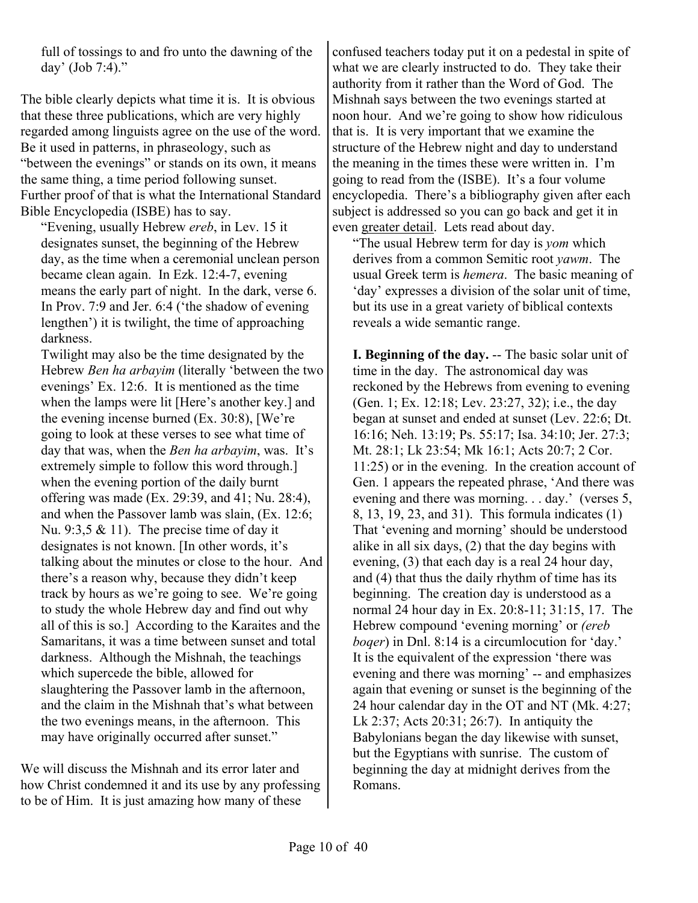full of tossings to and fro unto the dawning of the day' (Job 7:4)."

The bible clearly depicts what time it is. It is obvious that these three publications, which are very highly regarded among linguists agree on the use of the word. Be it used in patterns, in phraseology, such as "between the evenings" or stands on its own, it means the same thing, a time period following sunset. Further proof of that is what the International Standard Bible Encyclopedia (ISBE) has to say.

"Evening, usually Hebrew *ereb*, in Lev. 15 it designates sunset, the beginning of the Hebrew day, as the time when a ceremonial unclean person became clean again. In Ezk. 12:4-7, evening means the early part of night. In the dark, verse 6. In Prov. 7:9 and Jer. 6:4 ('the shadow of evening lengthen') it is twilight, the time of approaching darkness.

Twilight may also be the time designated by the Hebrew *Ben ha arbayim* (literally 'between the two evenings' Ex. 12:6. It is mentioned as the time when the lamps were lit [Here's another key.] and the evening incense burned (Ex. 30:8), [We're going to look at these verses to see what time of day that was, when the *Ben ha arbayim*, was. It's extremely simple to follow this word through.] when the evening portion of the daily burnt offering was made (Ex. 29:39, and 41; Nu. 28:4), and when the Passover lamb was slain, (Ex. 12:6; Nu. 9:3,5  $& 11$ ). The precise time of day it designates is not known. [In other words, it's talking about the minutes or close to the hour. And there's a reason why, because they didn't keep track by hours as we're going to see. We're going to study the whole Hebrew day and find out why all of this is so.] According to the Karaites and the Samaritans, it was a time between sunset and total darkness. Although the Mishnah, the teachings which supercede the bible, allowed for slaughtering the Passover lamb in the afternoon, and the claim in the Mishnah that's what between the two evenings means, in the afternoon. This may have originally occurred after sunset."

We will discuss the Mishnah and its error later and how Christ condemned it and its use by any professing to be of Him. It is just amazing how many of these

confused teachers today put it on a pedestal in spite of what we are clearly instructed to do. They take their authority from it rather than the Word of God. The Mishnah says between the two evenings started at noon hour. And we're going to show how ridiculous that is. It is very important that we examine the structure of the Hebrew night and day to understand the meaning in the times these were written in. I'm going to read from the (ISBE). It's a four volume encyclopedia. There's a bibliography given after each subject is addressed so you can go back and get it in even greater detail. Lets read about day.

"The usual Hebrew term for day is *yom* which derives from a common Semitic root *yawm*. The usual Greek term is *hemera*. The basic meaning of 'day' expresses a division of the solar unit of time, but its use in a great variety of biblical contexts reveals a wide semantic range.

**I. Beginning of the day.** -- The basic solar unit of time in the day. The astronomical day was reckoned by the Hebrews from evening to evening (Gen. 1; Ex. 12:18; Lev. 23:27, 32); i.e., the day began at sunset and ended at sunset (Lev. 22:6; Dt. 16:16; Neh. 13:19; Ps. 55:17; Isa. 34:10; Jer. 27:3; Mt. 28:1; Lk 23:54; Mk 16:1; Acts 20:7; 2 Cor. 11:25) or in the evening. In the creation account of Gen. 1 appears the repeated phrase, 'And there was evening and there was morning. . . day.' (verses 5, 8, 13, 19, 23, and 31). This formula indicates (1) That 'evening and morning' should be understood alike in all six days, (2) that the day begins with evening, (3) that each day is a real 24 hour day, and (4) that thus the daily rhythm of time has its beginning. The creation day is understood as a normal 24 hour day in Ex. 20:8-11; 31:15, 17. The Hebrew compound 'evening morning' or *(ereb boqer*) in Dnl. 8:14 is a circumlocution for 'day.' It is the equivalent of the expression 'there was evening and there was morning' -- and emphasizes again that evening or sunset is the beginning of the 24 hour calendar day in the OT and NT (Mk. 4:27; Lk 2:37; Acts 20:31; 26:7). In antiquity the Babylonians began the day likewise with sunset, but the Egyptians with sunrise. The custom of beginning the day at midnight derives from the Romans.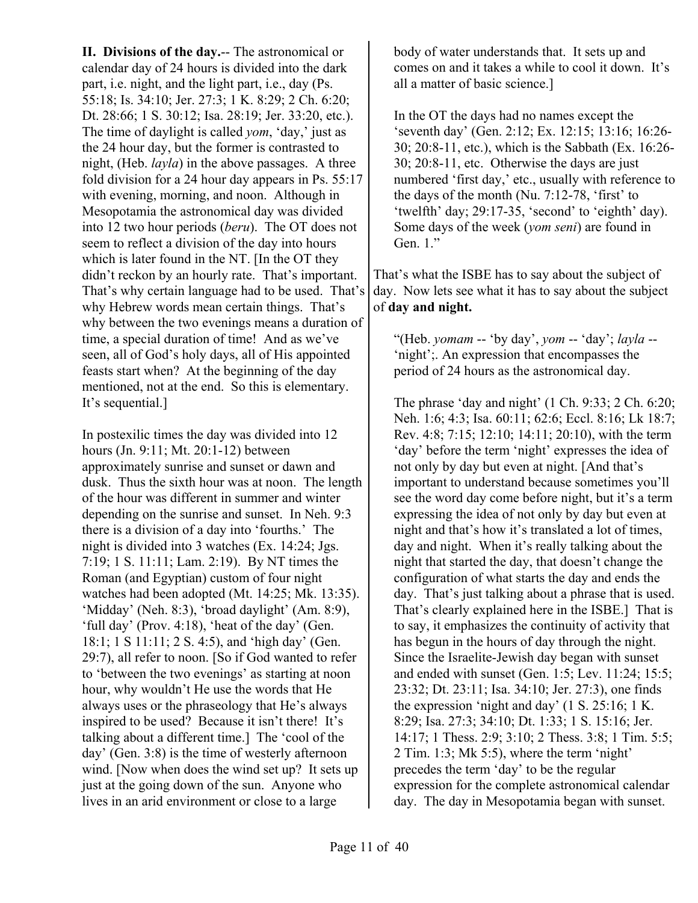**II. Divisions of the day.**-- The astronomical or calendar day of 24 hours is divided into the dark part, i.e. night, and the light part, i.e., day (Ps. 55:18; Is. 34:10; Jer. 27:3; 1 K. 8:29; 2 Ch. 6:20; Dt. 28:66; 1 S. 30:12; Isa. 28:19; Jer. 33:20, etc.). The time of daylight is called *yom*, 'day,' just as the 24 hour day, but the former is contrasted to night, (Heb. *layla*) in the above passages. A three fold division for a 24 hour day appears in Ps. 55:17 with evening, morning, and noon. Although in Mesopotamia the astronomical day was divided into 12 two hour periods (*beru*). The OT does not seem to reflect a division of the day into hours which is later found in the NT. [In the OT they didn't reckon by an hourly rate. That's important. That's why certain language had to be used. That's why Hebrew words mean certain things. That's why between the two evenings means a duration of time, a special duration of time! And as we've seen, all of God's holy days, all of His appointed feasts start when? At the beginning of the day mentioned, not at the end. So this is elementary. It's sequential.]

In postexilic times the day was divided into 12 hours (Jn. 9:11; Mt. 20:1-12) between approximately sunrise and sunset or dawn and dusk. Thus the sixth hour was at noon. The length of the hour was different in summer and winter depending on the sunrise and sunset. In Neh. 9:3 there is a division of a day into 'fourths.' The night is divided into 3 watches (Ex. 14:24; Jgs. 7:19; 1 S. 11:11; Lam. 2:19). By NT times the Roman (and Egyptian) custom of four night watches had been adopted (Mt. 14:25; Mk. 13:35). 'Midday' (Neh. 8:3), 'broad daylight' (Am. 8:9), 'full day' (Prov. 4:18), 'heat of the day' (Gen. 18:1; 1 S 11:11; 2 S. 4:5), and 'high day' (Gen. 29:7), all refer to noon. [So if God wanted to refer to 'between the two evenings' as starting at noon hour, why wouldn't He use the words that He always uses or the phraseology that He's always inspired to be used? Because it isn't there! It's talking about a different time.] The 'cool of the day' (Gen. 3:8) is the time of westerly afternoon wind. [Now when does the wind set up? It sets up just at the going down of the sun. Anyone who lives in an arid environment or close to a large

body of water understands that. It sets up and comes on and it takes a while to cool it down. It's all a matter of basic science.]

In the OT the days had no names except the 'seventh day' (Gen. 2:12; Ex. 12:15; 13:16; 16:26- 30; 20:8-11, etc.), which is the Sabbath (Ex. 16:26- 30; 20:8-11, etc. Otherwise the days are just numbered 'first day,' etc., usually with reference to the days of the month (Nu. 7:12-78, 'first' to 'twelfth' day; 29:17-35, 'second' to 'eighth' day). Some days of the week (*yom seni*) are found in Gen. 1."

That's what the ISBE has to say about the subject of day. Now lets see what it has to say about the subject of **day and night.**

"(Heb. *yomam* -- 'by day', *yom* -- 'day'; *layla* -- 'night';. An expression that encompasses the period of 24 hours as the astronomical day.

The phrase 'day and night' (1 Ch. 9:33; 2 Ch. 6:20; Neh. 1:6; 4:3; Isa. 60:11; 62:6; Eccl. 8:16; Lk 18:7; Rev. 4:8; 7:15; 12:10; 14:11; 20:10), with the term 'day' before the term 'night' expresses the idea of not only by day but even at night. [And that's important to understand because sometimes you'll see the word day come before night, but it's a term expressing the idea of not only by day but even at night and that's how it's translated a lot of times, day and night. When it's really talking about the night that started the day, that doesn't change the configuration of what starts the day and ends the day. That's just talking about a phrase that is used. That's clearly explained here in the ISBE.] That is to say, it emphasizes the continuity of activity that has begun in the hours of day through the night. Since the Israelite-Jewish day began with sunset and ended with sunset (Gen. 1:5; Lev. 11:24; 15:5; 23:32; Dt. 23:11; Isa. 34:10; Jer. 27:3), one finds the expression 'night and day' (1 S. 25:16; 1 K. 8:29; Isa. 27:3; 34:10; Dt. 1:33; 1 S. 15:16; Jer. 14:17; 1 Thess. 2:9; 3:10; 2 Thess. 3:8; 1 Tim. 5:5; 2 Tim. 1:3; Mk 5:5), where the term 'night' precedes the term 'day' to be the regular expression for the complete astronomical calendar day. The day in Mesopotamia began with sunset.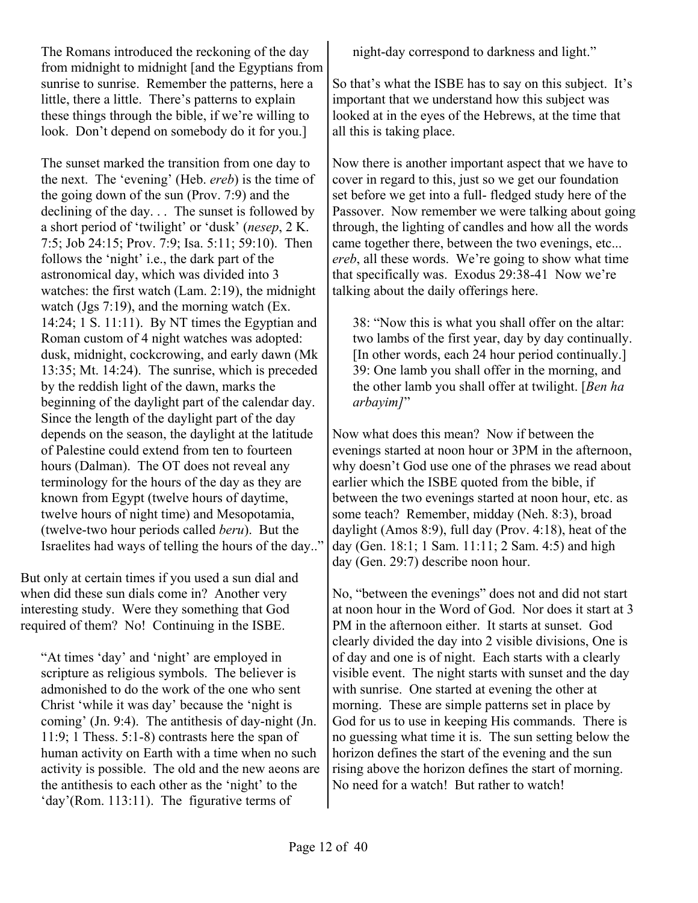The Romans introduced the reckoning of the day from midnight to midnight [and the Egyptians from sunrise to sunrise. Remember the patterns, here a little, there a little. There's patterns to explain these things through the bible, if we're willing to look. Don't depend on somebody do it for you.]

The sunset marked the transition from one day to the next. The 'evening' (Heb. *ereb*) is the time of the going down of the sun (Prov. 7:9) and the declining of the day. . . The sunset is followed by a short period of 'twilight' or 'dusk' (*nesep*, 2 K. 7:5; Job 24:15; Prov. 7:9; Isa. 5:11; 59:10). Then follows the 'night' i.e., the dark part of the astronomical day, which was divided into 3 watches: the first watch (Lam. 2:19), the midnight watch (Jgs 7:19), and the morning watch (Ex. 14:24; 1 S. 11:11). By NT times the Egyptian and Roman custom of 4 night watches was adopted: dusk, midnight, cockcrowing, and early dawn (Mk 13:35; Mt. 14:24). The sunrise, which is preceded by the reddish light of the dawn, marks the beginning of the daylight part of the calendar day. Since the length of the daylight part of the day depends on the season, the daylight at the latitude of Palestine could extend from ten to fourteen hours (Dalman). The OT does not reveal any terminology for the hours of the day as they are known from Egypt (twelve hours of daytime, twelve hours of night time) and Mesopotamia, (twelve-two hour periods called *beru*). But the Israelites had ways of telling the hours of the day.."

But only at certain times if you used a sun dial and when did these sun dials come in? Another very interesting study. Were they something that God required of them? No! Continuing in the ISBE.

"At times 'day' and 'night' are employed in scripture as religious symbols. The believer is admonished to do the work of the one who sent Christ 'while it was day' because the 'night is coming' (Jn. 9:4). The antithesis of day-night (Jn. 11:9; 1 Thess. 5:1-8) contrasts here the span of human activity on Earth with a time when no such activity is possible. The old and the new aeons are the antithesis to each other as the 'night' to the 'day'(Rom. 113:11). The figurative terms of

night-day correspond to darkness and light."

So that's what the ISBE has to say on this subject. It's important that we understand how this subject was looked at in the eyes of the Hebrews, at the time that all this is taking place.

Now there is another important aspect that we have to cover in regard to this, just so we get our foundation set before we get into a full- fledged study here of the Passover. Now remember we were talking about going through, the lighting of candles and how all the words came together there, between the two evenings, etc... *ereb*, all these words. We're going to show what time that specifically was. Exodus 29:38-41 Now we're talking about the daily offerings here.

38: "Now this is what you shall offer on the altar: two lambs of the first year, day by day continually. [In other words, each 24 hour period continually.] 39: One lamb you shall offer in the morning, and the other lamb you shall offer at twilight. [*Ben ha arbayim]*"

Now what does this mean? Now if between the evenings started at noon hour or 3PM in the afternoon, why doesn't God use one of the phrases we read about earlier which the ISBE quoted from the bible, if between the two evenings started at noon hour, etc. as some teach? Remember, midday (Neh. 8:3), broad daylight (Amos 8:9), full day (Prov. 4:18), heat of the day (Gen. 18:1; 1 Sam. 11:11; 2 Sam. 4:5) and high day (Gen. 29:7) describe noon hour.

No, "between the evenings" does not and did not start at noon hour in the Word of God. Nor does it start at 3 PM in the afternoon either. It starts at sunset. God clearly divided the day into 2 visible divisions, One is of day and one is of night. Each starts with a clearly visible event. The night starts with sunset and the day with sunrise. One started at evening the other at morning. These are simple patterns set in place by God for us to use in keeping His commands. There is no guessing what time it is. The sun setting below the horizon defines the start of the evening and the sun rising above the horizon defines the start of morning. No need for a watch! But rather to watch!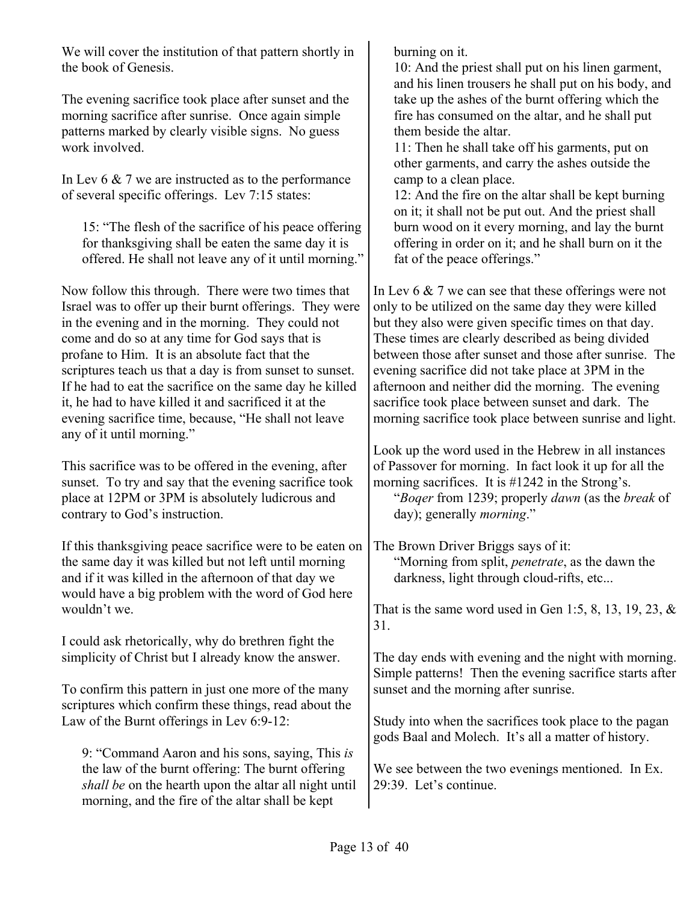We will cover the institution of that pattern shortly in the book of Genesis.

The evening sacrifice took place after sunset and the morning sacrifice after sunrise. Once again simple patterns marked by clearly visible signs. No guess work involved.

In Lev 6 & 7 we are instructed as to the performance of several specific offerings. Lev 7:15 states:

15: "The flesh of the sacrifice of his peace offering for thanksgiving shall be eaten the same day it is offered. He shall not leave any of it until morning."

Now follow this through. There were two times that Israel was to offer up their burnt offerings. They were in the evening and in the morning. They could not come and do so at any time for God says that is profane to Him. It is an absolute fact that the scriptures teach us that a day is from sunset to sunset. If he had to eat the sacrifice on the same day he killed it, he had to have killed it and sacrificed it at the evening sacrifice time, because, "He shall not leave any of it until morning."

This sacrifice was to be offered in the evening, after sunset. To try and say that the evening sacrifice took place at 12PM or 3PM is absolutely ludicrous and contrary to God's instruction.

If this thanksgiving peace sacrifice were to be eaten on the same day it was killed but not left until morning and if it was killed in the afternoon of that day we would have a big problem with the word of God here wouldn't we.

I could ask rhetorically, why do brethren fight the simplicity of Christ but I already know the answer.

To confirm this pattern in just one more of the many scriptures which confirm these things, read about the Law of the Burnt offerings in Lev 6:9-12:

9: "Command Aaron and his sons, saying, This *is* the law of the burnt offering: The burnt offering *shall be* on the hearth upon the altar all night until morning, and the fire of the altar shall be kept

burning on it.

10: And the priest shall put on his linen garment, and his linen trousers he shall put on his body, and take up the ashes of the burnt offering which the fire has consumed on the altar, and he shall put them beside the altar.

11: Then he shall take off his garments, put on other garments, and carry the ashes outside the camp to a clean place.

12: And the fire on the altar shall be kept burning on it; it shall not be put out. And the priest shall burn wood on it every morning, and lay the burnt offering in order on it; and he shall burn on it the fat of the peace offerings."

In Lev 6 & 7 we can see that these offerings were not only to be utilized on the same day they were killed but they also were given specific times on that day. These times are clearly described as being divided between those after sunset and those after sunrise. The evening sacrifice did not take place at 3PM in the afternoon and neither did the morning. The evening sacrifice took place between sunset and dark. The morning sacrifice took place between sunrise and light.

Look up the word used in the Hebrew in all instances of Passover for morning. In fact look it up for all the morning sacrifices. It is #1242 in the Strong's.

"*Boqer* from 1239; properly *dawn* (as the *break* of day); generally *morning*."

The Brown Driver Briggs says of it: "Morning from split, *penetrate*, as the dawn the darkness, light through cloud-rifts, etc...

That is the same word used in Gen 1:5, 8, 13, 19, 23,  $\&$ 31.

The day ends with evening and the night with morning. Simple patterns! Then the evening sacrifice starts after sunset and the morning after sunrise.

Study into when the sacrifices took place to the pagan gods Baal and Molech. It's all a matter of history.

We see between the two evenings mentioned. In Ex. 29:39. Let's continue.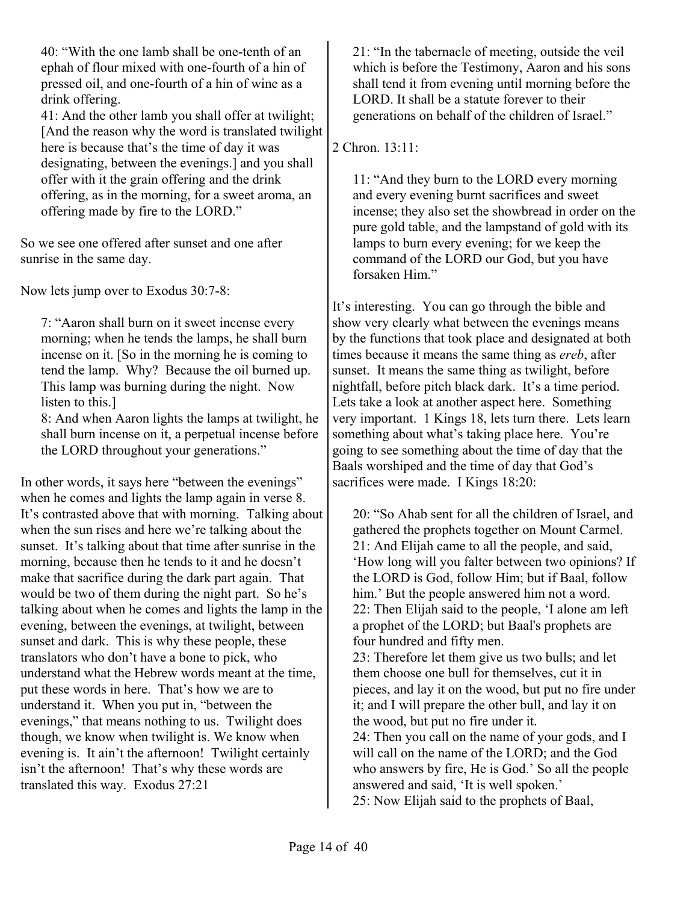40: "With the one lamb shall be one-tenth of an ephah of flour mixed with one-fourth of a hin of pressed oil, and one-fourth of a hin of wine as a drink offering.

41: And the other lamb you shall offer at twilight; [And the reason why the word is translated twilight here is because that's the time of day it was designating, between the evenings.] and you shall offer with it the grain offering and the drink offering, as in the morning, for a sweet aroma, an offering made by fire to the LORD."

So we see one offered after sunset and one after sunrise in the same day.

Now lets jump over to Exodus 30:7-8:

7: "Aaron shall burn on it sweet incense every morning; when he tends the lamps, he shall burn incense on it. [So in the morning he is coming to tend the lamp. Why? Because the oil burned up. This lamp was burning during the night. Now listen to this.]

8: And when Aaron lights the lamps at twilight, he shall burn incense on it, a perpetual incense before the LORD throughout your generations."

In other words, it says here "between the evenings" when he comes and lights the lamp again in verse 8. It's contrasted above that with morning. Talking about when the sun rises and here we're talking about the sunset. It's talking about that time after sunrise in the morning, because then he tends to it and he doesn't make that sacrifice during the dark part again. That would be two of them during the night part. So he's talking about when he comes and lights the lamp in the evening, between the evenings, at twilight, between sunset and dark. This is why these people, these translators who don't have a bone to pick, who understand what the Hebrew words meant at the time, put these words in here. That's how we are to understand it. When you put in, "between the evenings," that means nothing to us. Twilight does though, we know when twilight is. We know when evening is. It ain't the afternoon! Twilight certainly isn't the afternoon! That's why these words are translated this way. Exodus 27:21

21: "In the tabernacle of meeting, outside the veil which is before the Testimony, Aaron and his sons shall tend it from evening until morning before the LORD. It shall be a statute forever to their generations on behalf of the children of Israel."

### 2 Chron. 13:11:

11: "And they burn to the LORD every morning and every evening burnt sacrifices and sweet incense; they also set the showbread in order on the pure gold table, and the lampstand of gold with its lamps to burn every evening; for we keep the command of the LORD our God, but you have forsaken Him."

It's interesting. You can go through the bible and show very clearly what between the evenings means by the functions that took place and designated at both times because it means the same thing as *ereb*, after sunset. It means the same thing as twilight, before nightfall, before pitch black dark. It's a time period. Lets take a look at another aspect here. Something very important. 1 Kings 18, lets turn there. Lets learn something about what's taking place here. You're going to see something about the time of day that the Baals worshiped and the time of day that God's sacrifices were made. I Kings 18:20:

20: "So Ahab sent for all the children of Israel, and gathered the prophets together on Mount Carmel. 21: And Elijah came to all the people, and said, 'How long will you falter between two opinions? If the LORD is God, follow Him; but if Baal, follow him.' But the people answered him not a word. 22: Then Elijah said to the people, 'I alone am left a prophet of the LORD; but Baal's prophets are four hundred and fifty men.

23: Therefore let them give us two bulls; and let them choose one bull for themselves, cut it in pieces, and lay it on the wood, but put no fire under it; and I will prepare the other bull, and lay it on the wood, but put no fire under it. 24: Then you call on the name of your gods, and I

will call on the name of the LORD; and the God who answers by fire, He is God.' So all the people answered and said, 'It is well spoken.' 25: Now Elijah said to the prophets of Baal,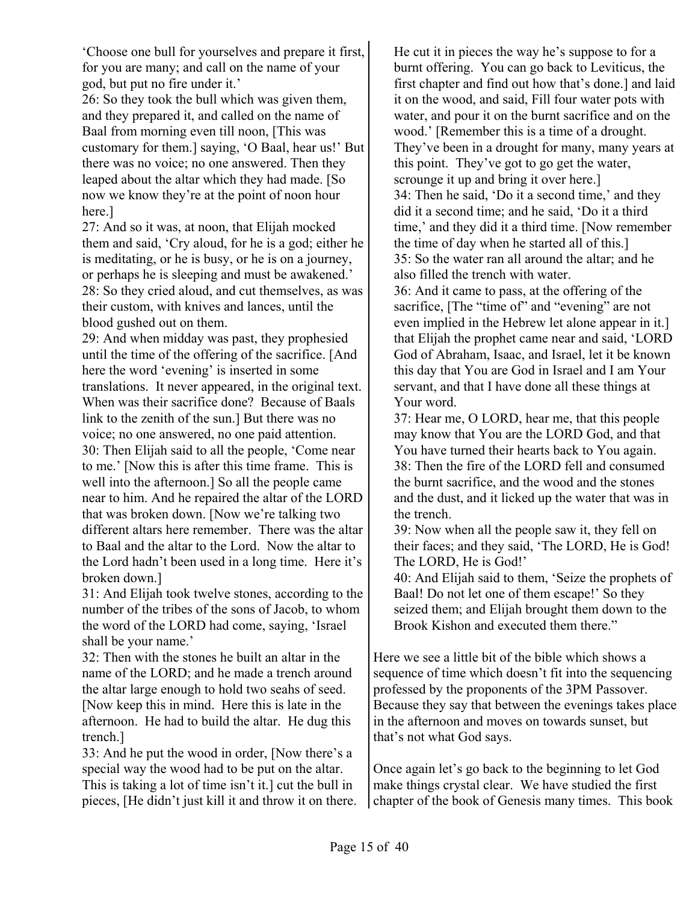'Choose one bull for yourselves and prepare it first, for you are many; and call on the name of your god, but put no fire under it.'

26: So they took the bull which was given them, and they prepared it, and called on the name of Baal from morning even till noon, [This was customary for them.] saying, 'O Baal, hear us!' But there was no voice; no one answered. Then they leaped about the altar which they had made. [So now we know they're at the point of noon hour here.]

27: And so it was, at noon, that Elijah mocked them and said, 'Cry aloud, for he is a god; either he is meditating, or he is busy, or he is on a journey, or perhaps he is sleeping and must be awakened.' 28: So they cried aloud, and cut themselves, as was their custom, with knives and lances, until the blood gushed out on them.

29: And when midday was past, they prophesied until the time of the offering of the sacrifice. [And here the word 'evening' is inserted in some translations. It never appeared, in the original text. When was their sacrifice done? Because of Baals link to the zenith of the sun.] But there was no voice; no one answered, no one paid attention. 30: Then Elijah said to all the people, 'Come near to me.' [Now this is after this time frame. This is well into the afternoon.] So all the people came near to him. And he repaired the altar of the LORD that was broken down. [Now we're talking two different altars here remember. There was the altar to Baal and the altar to the Lord. Now the altar to the Lord hadn't been used in a long time. Here it's broken down.]

31: And Elijah took twelve stones, according to the number of the tribes of the sons of Jacob, to whom the word of the LORD had come, saying, 'Israel shall be your name.'

32: Then with the stones he built an altar in the name of the LORD; and he made a trench around the altar large enough to hold two seahs of seed. [Now keep this in mind. Here this is late in the afternoon. He had to build the altar. He dug this trench.]

33: And he put the wood in order, [Now there's a special way the wood had to be put on the altar. This is taking a lot of time isn't it.] cut the bull in pieces, [He didn't just kill it and throw it on there.

He cut it in pieces the way he's suppose to for a burnt offering. You can go back to Leviticus, the first chapter and find out how that's done.] and laid it on the wood, and said, Fill four water pots with water, and pour it on the burnt sacrifice and on the wood.' [Remember this is a time of a drought. They've been in a drought for many, many years at this point. They've got to go get the water, scrounge it up and bring it over here.] 34: Then he said, 'Do it a second time,' and they did it a second time; and he said, 'Do it a third time,' and they did it a third time. [Now remember the time of day when he started all of this.] 35: So the water ran all around the altar; and he also filled the trench with water.

36: And it came to pass, at the offering of the sacrifice, [The "time of" and "evening" are not even implied in the Hebrew let alone appear in it.] that Elijah the prophet came near and said, 'LORD God of Abraham, Isaac, and Israel, let it be known this day that You are God in Israel and I am Your servant, and that I have done all these things at Your word.

37: Hear me, O LORD, hear me, that this people may know that You are the LORD God, and that You have turned their hearts back to You again. 38: Then the fire of the LORD fell and consumed the burnt sacrifice, and the wood and the stones and the dust, and it licked up the water that was in the trench.

39: Now when all the people saw it, they fell on their faces; and they said, 'The LORD, He is God! The LORD, He is God!'

40: And Elijah said to them, 'Seize the prophets of Baal! Do not let one of them escape!' So they seized them; and Elijah brought them down to the Brook Kishon and executed them there."

Here we see a little bit of the bible which shows a sequence of time which doesn't fit into the sequencing professed by the proponents of the 3PM Passover. Because they say that between the evenings takes place in the afternoon and moves on towards sunset, but that's not what God says.

Once again let's go back to the beginning to let God make things crystal clear. We have studied the first chapter of the book of Genesis many times. This book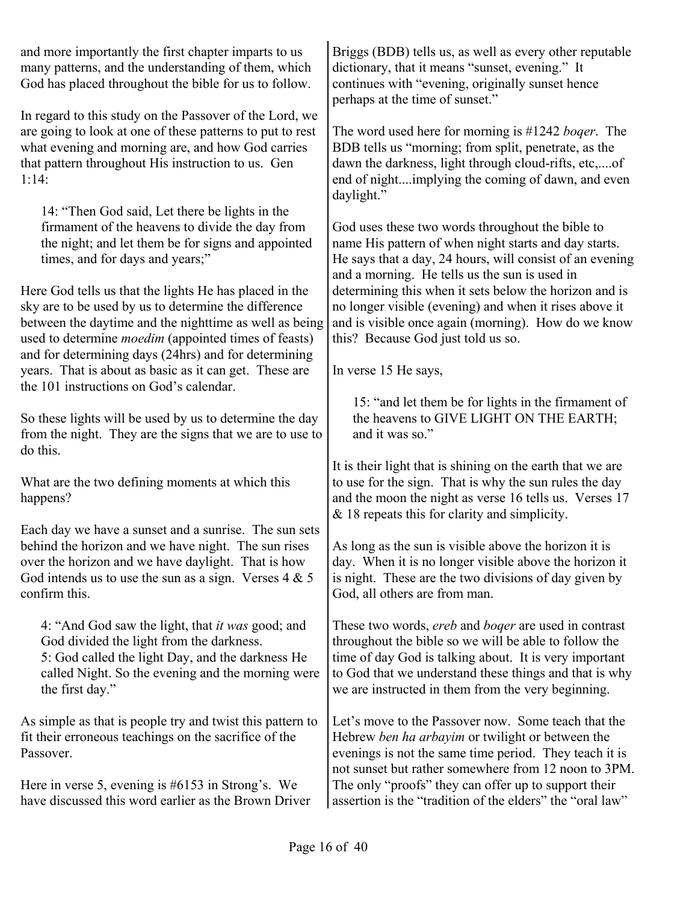and more importantly the first chapter imparts to us many patterns, and the understanding of them, which God has placed throughout the bible for us to follow.

In regard to this study on the Passover of the Lord, we are going to look at one of these patterns to put to rest what evening and morning are, and how God carries that pattern throughout His instruction to us. Gen 1:14:

14: "Then God said, Let there be lights in the firmament of the heavens to divide the day from the night; and let them be for signs and appointed times, and for days and years;"

Here God tells us that the lights He has placed in the sky are to be used by us to determine the difference between the daytime and the nighttime as well as being used to determine *moedim* (appointed times of feasts) and for determining days (24hrs) and for determining years. That is about as basic as it can get. These are the 101 instructions on God's calendar.

So these lights will be used by us to determine the day from the night. They are the signs that we are to use to do this.

What are the two defining moments at which this happens?

Each day we have a sunset and a sunrise. The sun sets behind the horizon and we have night. The sun rises over the horizon and we have daylight. That is how God intends us to use the sun as a sign. Verses  $4 \& 5$ confirm this.

4: "And God saw the light, that *it was* good; and God divided the light from the darkness. 5: God called the light Day, and the darkness He called Night. So the evening and the morning were the first day."

As simple as that is people try and twist this pattern to fit their erroneous teachings on the sacrifice of the Passover.

Here in verse 5, evening is #6153 in Strong's. We have discussed this word earlier as the Brown Driver Briggs (BDB) tells us, as well as every other reputable dictionary, that it means "sunset, evening." It continues with "evening, originally sunset hence perhaps at the time of sunset."

The word used here for morning is #1242 *boqer*. The BDB tells us "morning; from split, penetrate, as the dawn the darkness, light through cloud-rifts, etc,....of end of night....implying the coming of dawn, and even daylight."

God uses these two words throughout the bible to name His pattern of when night starts and day starts. He says that a day, 24 hours, will consist of an evening and a morning. He tells us the sun is used in determining this when it sets below the horizon and is no longer visible (evening) and when it rises above it and is visible once again (morning). How do we know this? Because God just told us so.

In verse 15 He says,

15: "and let them be for lights in the firmament of the heavens to GIVE LIGHT ON THE EARTH; and it was so."

It is their light that is shining on the earth that we are to use for the sign. That is why the sun rules the day and the moon the night as verse 16 tells us. Verses 17 & 18 repeats this for clarity and simplicity.

As long as the sun is visible above the horizon it is day. When it is no longer visible above the horizon it is night. These are the two divisions of day given by God, all others are from man.

These two words, *ereb* and *boqer* are used in contrast throughout the bible so we will be able to follow the time of day God is talking about. It is very important to God that we understand these things and that is why we are instructed in them from the very beginning.

Let's move to the Passover now. Some teach that the Hebrew *ben ha arbayim* or twilight or between the evenings is not the same time period. They teach it is not sunset but rather somewhere from 12 noon to 3PM. The only "proofs" they can offer up to support their assertion is the "tradition of the elders" the "oral law"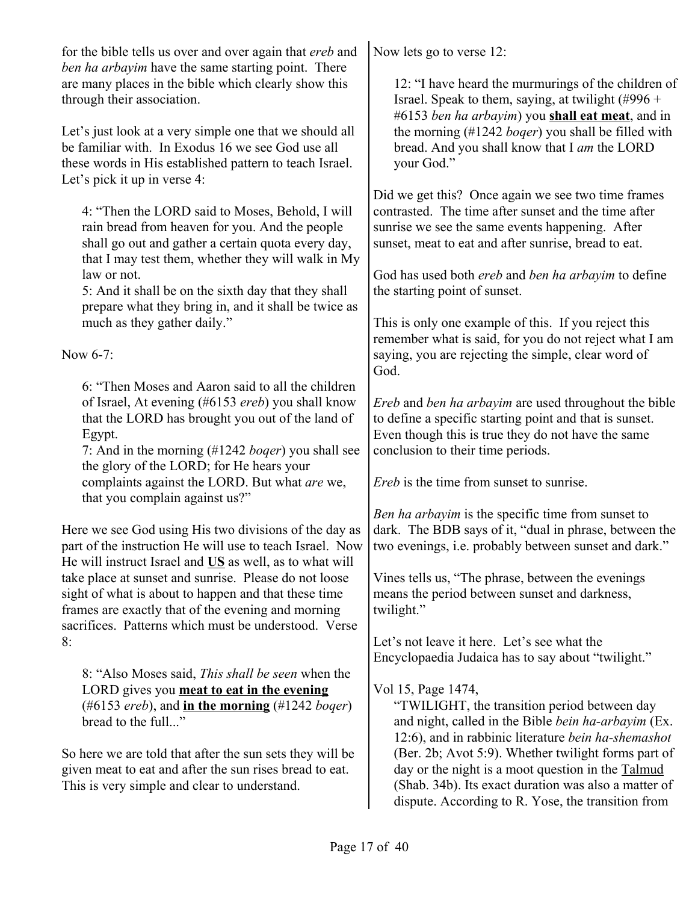for the bible tells us over and over again that *ereb* and *ben ha arbayim* have the same starting point. There are many places in the bible which clearly show this through their association.

Let's just look at a very simple one that we should all be familiar with. In Exodus 16 we see God use all these words in His established pattern to teach Israel. Let's pick it up in verse 4:

4: "Then the LORD said to Moses, Behold, I will rain bread from heaven for you. And the people shall go out and gather a certain quota every day, that I may test them, whether they will walk in My law or not.

5: And it shall be on the sixth day that they shall prepare what they bring in, and it shall be twice as much as they gather daily."

Now  $6-7$ 

6: "Then Moses and Aaron said to all the children of Israel, At evening (#6153 *ereb*) you shall know that the LORD has brought you out of the land of Egypt.

7: And in the morning (#1242 *boqer*) you shall see the glory of the LORD; for He hears your complaints against the LORD. But what *are* we, that you complain against us?"

Here we see God using His two divisions of the day as part of the instruction He will use to teach Israel. Now He will instruct Israel and **US** as well, as to what will take place at sunset and sunrise. Please do not loose sight of what is about to happen and that these time frames are exactly that of the evening and morning sacrifices. Patterns which must be understood. Verse 8:

8: "Also Moses said, *This shall be seen* when the LORD gives you **meat to eat in the evening** (#6153 *ereb*), and **in the morning** (#1242 *boqer*) bread to the full..."

So here we are told that after the sun sets they will be given meat to eat and after the sun rises bread to eat. This is very simple and clear to understand.

Now lets go to verse 12:

12: "I have heard the murmurings of the children of Israel. Speak to them, saying, at twilight  $(\text{\#996} +$ #6153 *ben ha arbayim*) you **shall eat meat**, and in the morning (#1242 *boqer*) you shall be filled with bread. And you shall know that I *am* the LORD your God."

Did we get this? Once again we see two time frames contrasted. The time after sunset and the time after sunrise we see the same events happening. After sunset, meat to eat and after sunrise, bread to eat.

God has used both *ereb* and *ben ha arbayim* to define the starting point of sunset.

This is only one example of this. If you reject this remember what is said, for you do not reject what I am saying, you are rejecting the simple, clear word of God.

*Ereb* and *ben ha arbayim* are used throughout the bible to define a specific starting point and that is sunset. Even though this is true they do not have the same conclusion to their time periods.

*Ereb* is the time from sunset to sunrise.

*Ben ha arbayim* is the specific time from sunset to dark. The BDB says of it, "dual in phrase, between the two evenings, i.e. probably between sunset and dark."

Vines tells us, "The phrase, between the evenings means the period between sunset and darkness, twilight."

Let's not leave it here. Let's see what the Encyclopaedia Judaica has to say about "twilight."

# Vol 15, Page 1474,

"TWILIGHT, the transition period between day and night, called in the Bible *bein ha-arbayim* (Ex. 12:6), and in rabbinic literature *bein ha-shemashot* (Ber. 2b; Avot 5:9). Whether twilight forms part of day or the night is a moot question in the Talmud (Shab. 34b). Its exact duration was also a matter of dispute. According to R. Yose, the transition from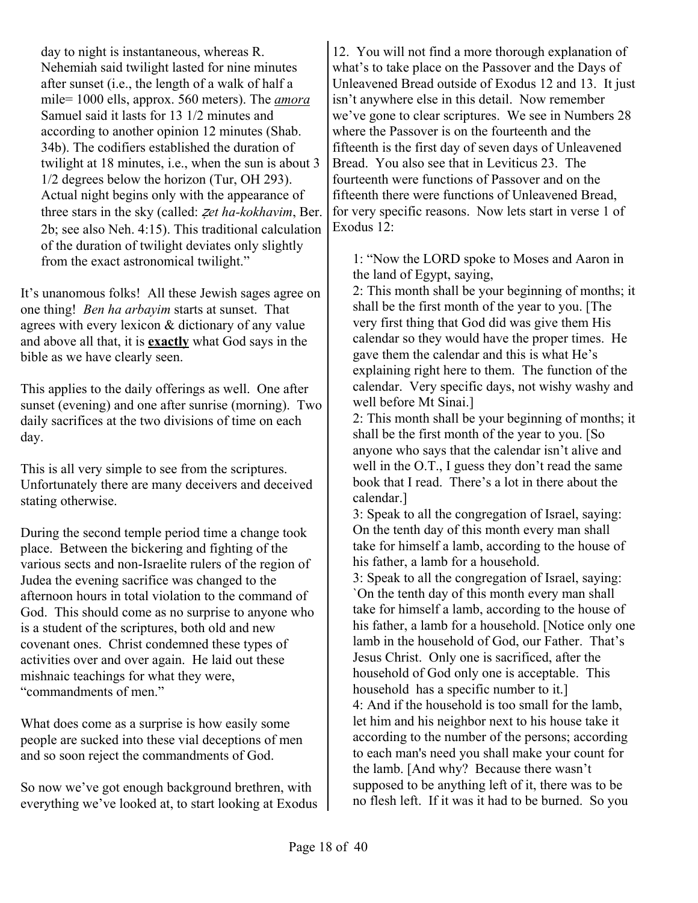day to night is instantaneous, whereas R. Nehemiah said twilight lasted for nine minutes after sunset (i.e., the length of a walk of half a mile= 1000 ells, approx. 560 meters). The *amora* Samuel said it lasts for 13 1/2 minutes and according to another opinion 12 minutes (Shab. 34b). The codifiers established the duration of twilight at 18 minutes, i.e., when the sun is about 3 1/2 degrees below the horizon (Tur, OH 293). Actual night begins only with the appearance of three stars in the sky (called: z*et ha-kokhavim*, Ber. 2b; see also Neh. 4:15). This traditional calculation of the duration of twilight deviates only slightly from the exact astronomical twilight."

It's unanomous folks! All these Jewish sages agree on one thing! *Ben ha arbayim* starts at sunset. That agrees with every lexicon & dictionary of any value and above all that, it is **exactly** what God says in the bible as we have clearly seen.

This applies to the daily offerings as well. One after sunset (evening) and one after sunrise (morning). Two daily sacrifices at the two divisions of time on each day.

This is all very simple to see from the scriptures. Unfortunately there are many deceivers and deceived stating otherwise.

During the second temple period time a change took place. Between the bickering and fighting of the various sects and non-Israelite rulers of the region of Judea the evening sacrifice was changed to the afternoon hours in total violation to the command of God. This should come as no surprise to anyone who is a student of the scriptures, both old and new covenant ones. Christ condemned these types of activities over and over again. He laid out these mishnaic teachings for what they were, "commandments of men."

What does come as a surprise is how easily some people are sucked into these vial deceptions of men and so soon reject the commandments of God.

So now we've got enough background brethren, with everything we've looked at, to start looking at Exodus 12. You will not find a more thorough explanation of what's to take place on the Passover and the Days of Unleavened Bread outside of Exodus 12 and 13. It just isn't anywhere else in this detail. Now remember we've gone to clear scriptures. We see in Numbers 28 where the Passover is on the fourteenth and the fifteenth is the first day of seven days of Unleavened Bread. You also see that in Leviticus 23. The fourteenth were functions of Passover and on the fifteenth there were functions of Unleavened Bread, for very specific reasons. Now lets start in verse 1 of Exodus 12:

1: "Now the LORD spoke to Moses and Aaron in the land of Egypt, saying,

2: This month shall be your beginning of months; it shall be the first month of the year to you. [The very first thing that God did was give them His calendar so they would have the proper times. He gave them the calendar and this is what He's explaining right here to them. The function of the calendar. Very specific days, not wishy washy and well before Mt Sinai.]

2: This month shall be your beginning of months; it shall be the first month of the year to you. [So anyone who says that the calendar isn't alive and well in the O.T., I guess they don't read the same book that I read. There's a lot in there about the calendar.]

3: Speak to all the congregation of Israel, saying: On the tenth day of this month every man shall take for himself a lamb, according to the house of his father, a lamb for a household.

3: Speak to all the congregation of Israel, saying: `On the tenth day of this month every man shall take for himself a lamb, according to the house of his father, a lamb for a household. [Notice only one lamb in the household of God, our Father. That's Jesus Christ. Only one is sacrificed, after the household of God only one is acceptable. This household has a specific number to it.] 4: And if the household is too small for the lamb, let him and his neighbor next to his house take it according to the number of the persons; according to each man's need you shall make your count for the lamb. [And why? Because there wasn't supposed to be anything left of it, there was to be no flesh left. If it was it had to be burned. So you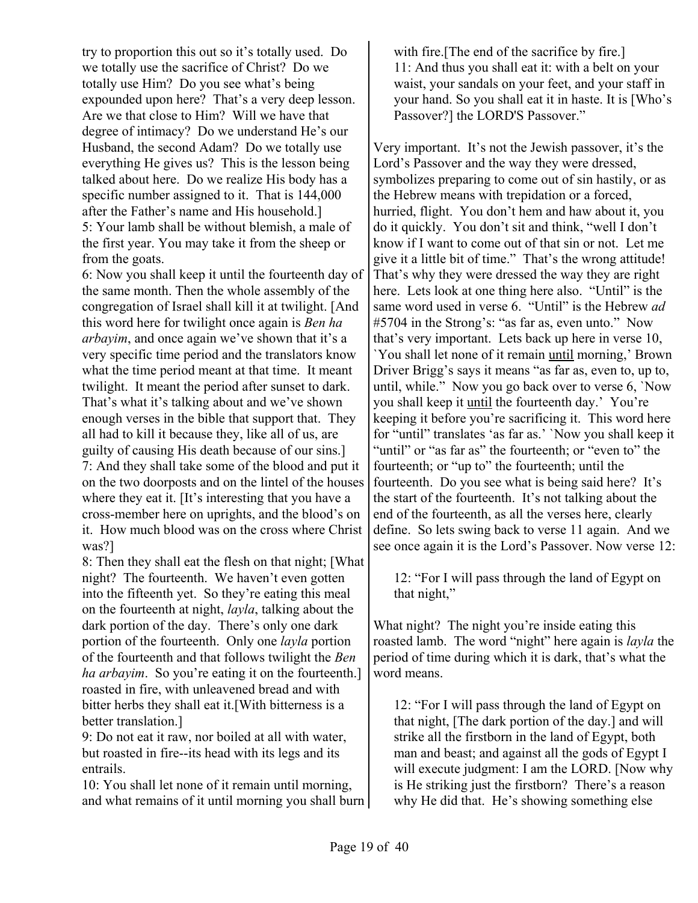try to proportion this out so it's totally used. Do we totally use the sacrifice of Christ? Do we totally use Him? Do you see what's being expounded upon here? That's a very deep lesson. Are we that close to Him? Will we have that degree of intimacy? Do we understand He's our Husband, the second Adam? Do we totally use everything He gives us? This is the lesson being talked about here. Do we realize His body has a specific number assigned to it. That is 144,000 after the Father's name and His household.] 5: Your lamb shall be without blemish, a male of the first year. You may take it from the sheep or from the goats.

6: Now you shall keep it until the fourteenth day of the same month. Then the whole assembly of the congregation of Israel shall kill it at twilight. [And this word here for twilight once again is *Ben ha arbayim*, and once again we've shown that it's a very specific time period and the translators know what the time period meant at that time. It meant twilight. It meant the period after sunset to dark. That's what it's talking about and we've shown enough verses in the bible that support that. They all had to kill it because they, like all of us, are guilty of causing His death because of our sins.] 7: And they shall take some of the blood and put it on the two doorposts and on the lintel of the houses where they eat it. [It's interesting that you have a cross-member here on uprights, and the blood's on it. How much blood was on the cross where Christ was?]

8: Then they shall eat the flesh on that night; [What night? The fourteenth. We haven't even gotten into the fifteenth yet. So they're eating this meal on the fourteenth at night, *layla*, talking about the dark portion of the day. There's only one dark portion of the fourteenth. Only one *layla* portion of the fourteenth and that follows twilight the *Ben ha arbayim*. So you're eating it on the fourteenth.] roasted in fire, with unleavened bread and with bitter herbs they shall eat it.[With bitterness is a better translation.]

9: Do not eat it raw, nor boiled at all with water, but roasted in fire--its head with its legs and its entrails.

10: You shall let none of it remain until morning, and what remains of it until morning you shall burn

with fire.[The end of the sacrifice by fire.] 11: And thus you shall eat it: with a belt on your waist, your sandals on your feet, and your staff in your hand. So you shall eat it in haste. It is [Who's Passover?] the LORD'S Passover."

Very important. It's not the Jewish passover, it's the Lord's Passover and the way they were dressed, symbolizes preparing to come out of sin hastily, or as the Hebrew means with trepidation or a forced, hurried, flight. You don't hem and haw about it, you do it quickly. You don't sit and think, "well I don't know if I want to come out of that sin or not. Let me give it a little bit of time." That's the wrong attitude! That's why they were dressed the way they are right here. Lets look at one thing here also. "Until" is the same word used in verse 6. "Until" is the Hebrew *ad* #5704 in the Strong's: "as far as, even unto." Now that's very important. Lets back up here in verse 10, `You shall let none of it remain until morning,' Brown Driver Brigg's says it means "as far as, even to, up to, until, while." Now you go back over to verse 6, `Now you shall keep it until the fourteenth day.' You're keeping it before you're sacrificing it. This word here for "until" translates 'as far as.' `Now you shall keep it "until" or "as far as" the fourteenth; or "even to" the fourteenth; or "up to" the fourteenth; until the fourteenth. Do you see what is being said here? It's the start of the fourteenth. It's not talking about the end of the fourteenth, as all the verses here, clearly define. So lets swing back to verse 11 again. And we see once again it is the Lord's Passover. Now verse 12:

12: "For I will pass through the land of Egypt on that night,"

What night? The night you're inside eating this roasted lamb. The word "night" here again is *layla* the period of time during which it is dark, that's what the word means.

12: "For I will pass through the land of Egypt on that night, [The dark portion of the day.] and will strike all the firstborn in the land of Egypt, both man and beast; and against all the gods of Egypt I will execute judgment: I am the LORD. [Now why is He striking just the firstborn? There's a reason why He did that. He's showing something else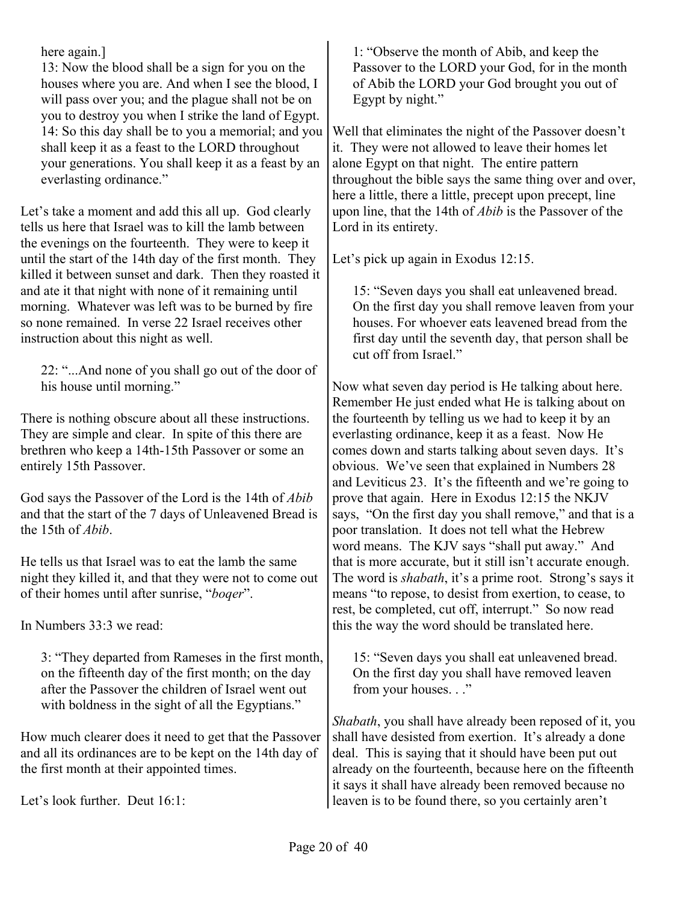here again.]

13: Now the blood shall be a sign for you on the houses where you are. And when I see the blood, I will pass over you; and the plague shall not be on you to destroy you when I strike the land of Egypt. 14: So this day shall be to you a memorial; and you shall keep it as a feast to the LORD throughout your generations. You shall keep it as a feast by an everlasting ordinance."

Let's take a moment and add this all up. God clearly tells us here that Israel was to kill the lamb between the evenings on the fourteenth. They were to keep it until the start of the 14th day of the first month. They killed it between sunset and dark. Then they roasted it and ate it that night with none of it remaining until morning. Whatever was left was to be burned by fire so none remained. In verse 22 Israel receives other instruction about this night as well.

22: "...And none of you shall go out of the door of his house until morning."

There is nothing obscure about all these instructions. They are simple and clear. In spite of this there are brethren who keep a 14th-15th Passover or some an entirely 15th Passover.

God says the Passover of the Lord is the 14th of *Abib* and that the start of the 7 days of Unleavened Bread is the 15th of *Abib*.

He tells us that Israel was to eat the lamb the same night they killed it, and that they were not to come out of their homes until after sunrise, "*boqer*".

In Numbers 33:3 we read:

3: "They departed from Rameses in the first month, on the fifteenth day of the first month; on the day after the Passover the children of Israel went out with boldness in the sight of all the Egyptians."

How much clearer does it need to get that the Passover and all its ordinances are to be kept on the 14th day of the first month at their appointed times.

Let's look further. Deut 16:1:

1: "Observe the month of Abib, and keep the Passover to the LORD your God, for in the month of Abib the LORD your God brought you out of Egypt by night."

Well that eliminates the night of the Passover doesn't it. They were not allowed to leave their homes let alone Egypt on that night. The entire pattern throughout the bible says the same thing over and over, here a little, there a little, precept upon precept, line upon line, that the 14th of *Abib* is the Passover of the Lord in its entirety.

Let's pick up again in Exodus 12:15.

15: "Seven days you shall eat unleavened bread. On the first day you shall remove leaven from your houses. For whoever eats leavened bread from the first day until the seventh day, that person shall be cut off from Israel."

Now what seven day period is He talking about here. Remember He just ended what He is talking about on the fourteenth by telling us we had to keep it by an everlasting ordinance, keep it as a feast. Now He comes down and starts talking about seven days. It's obvious. We've seen that explained in Numbers 28 and Leviticus 23. It's the fifteenth and we're going to prove that again. Here in Exodus 12:15 the NKJV says, "On the first day you shall remove," and that is a poor translation. It does not tell what the Hebrew word means. The KJV says "shall put away." And that is more accurate, but it still isn't accurate enough. The word is *shabath*, it's a prime root. Strong's says it means "to repose, to desist from exertion, to cease, to rest, be completed, cut off, interrupt." So now read this the way the word should be translated here.

15: "Seven days you shall eat unleavened bread. On the first day you shall have removed leaven from your houses. . ."

*Shabath*, you shall have already been reposed of it, you shall have desisted from exertion. It's already a done deal. This is saying that it should have been put out already on the fourteenth, because here on the fifteenth it says it shall have already been removed because no leaven is to be found there, so you certainly aren't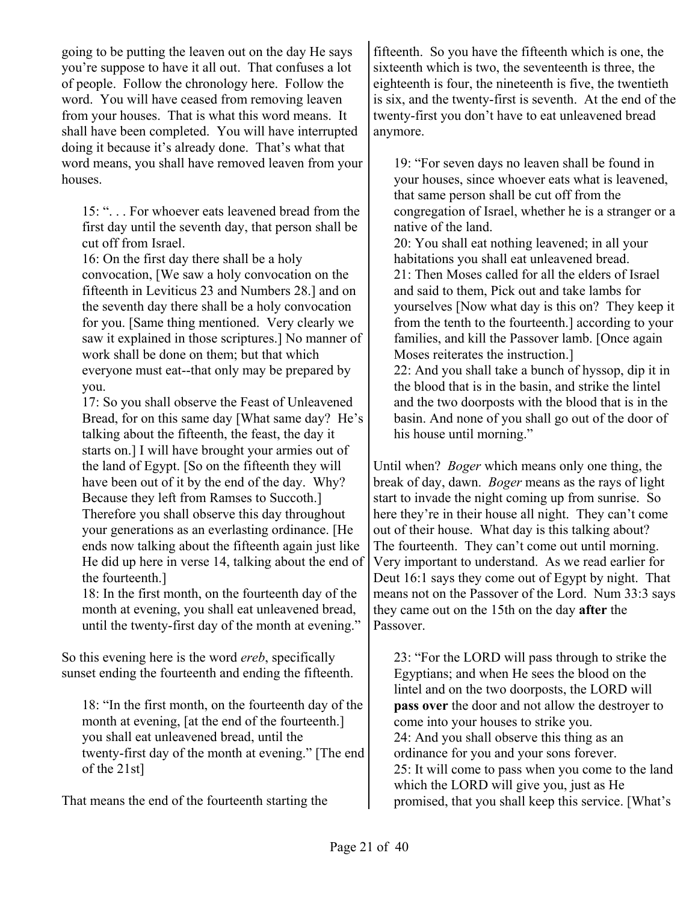going to be putting the leaven out on the day He says you're suppose to have it all out. That confuses a lot of people. Follow the chronology here. Follow the word. You will have ceased from removing leaven from your houses. That is what this word means. It shall have been completed. You will have interrupted doing it because it's already done. That's what that word means, you shall have removed leaven from your houses.

15: ". . . For whoever eats leavened bread from the first day until the seventh day, that person shall be cut off from Israel.

16: On the first day there shall be a holy convocation, [We saw a holy convocation on the fifteenth in Leviticus 23 and Numbers 28.] and on the seventh day there shall be a holy convocation for you. [Same thing mentioned. Very clearly we saw it explained in those scriptures.] No manner of work shall be done on them; but that which everyone must eat--that only may be prepared by you.

17: So you shall observe the Feast of Unleavened Bread, for on this same day [What same day? He's talking about the fifteenth, the feast, the day it starts on.] I will have brought your armies out of the land of Egypt. [So on the fifteenth they will have been out of it by the end of the day. Why? Because they left from Ramses to Succoth.] Therefore you shall observe this day throughout your generations as an everlasting ordinance. [He ends now talking about the fifteenth again just like He did up here in verse 14, talking about the end of the fourteenth.]

18: In the first month, on the fourteenth day of the month at evening, you shall eat unleavened bread, until the twenty-first day of the month at evening."

So this evening here is the word *ereb*, specifically sunset ending the fourteenth and ending the fifteenth.

18: "In the first month, on the fourteenth day of the month at evening, [at the end of the fourteenth.] you shall eat unleavened bread, until the twenty-first day of the month at evening." [The end of the 21st]

That means the end of the fourteenth starting the

fifteenth. So you have the fifteenth which is one, the sixteenth which is two, the seventeenth is three, the eighteenth is four, the nineteenth is five, the twentieth is six, and the twenty-first is seventh. At the end of the twenty-first you don't have to eat unleavened bread anymore.

19: "For seven days no leaven shall be found in your houses, since whoever eats what is leavened, that same person shall be cut off from the congregation of Israel, whether he is a stranger or a native of the land.

20: You shall eat nothing leavened; in all your habitations you shall eat unleavened bread. 21: Then Moses called for all the elders of Israel and said to them, Pick out and take lambs for yourselves [Now what day is this on? They keep it from the tenth to the fourteenth.] according to your families, and kill the Passover lamb. [Once again Moses reiterates the instruction.] 22: And you shall take a bunch of hyssop, dip it in the blood that is in the basin, and strike the lintel and the two doorposts with the blood that is in the basin. And none of you shall go out of the door of his house until morning."

Until when? *Boger* which means only one thing, the break of day, dawn. *Boger* means as the rays of light start to invade the night coming up from sunrise. So here they're in their house all night. They can't come out of their house. What day is this talking about? The fourteenth. They can't come out until morning. Very important to understand. As we read earlier for Deut 16:1 says they come out of Egypt by night. That means not on the Passover of the Lord. Num 33:3 says they came out on the 15th on the day **after** the Passover.

23: "For the LORD will pass through to strike the Egyptians; and when He sees the blood on the lintel and on the two doorposts, the LORD will **pass over** the door and not allow the destroyer to come into your houses to strike you. 24: And you shall observe this thing as an ordinance for you and your sons forever. 25: It will come to pass when you come to the land which the LORD will give you, just as He promised, that you shall keep this service. [What's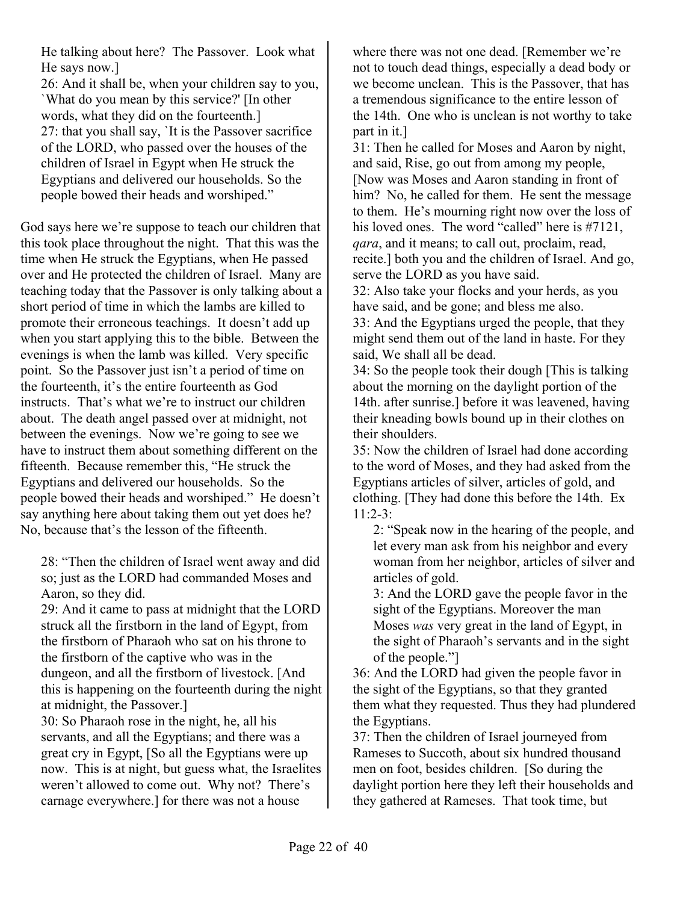He talking about here? The Passover. Look what He says now.]

26: And it shall be, when your children say to you, `What do you mean by this service?' [In other words, what they did on the fourteenth.] 27: that you shall say, `It is the Passover sacrifice of the LORD, who passed over the houses of the children of Israel in Egypt when He struck the Egyptians and delivered our households. So the people bowed their heads and worshiped."

God says here we're suppose to teach our children that this took place throughout the night. That this was the time when He struck the Egyptians, when He passed over and He protected the children of Israel. Many are teaching today that the Passover is only talking about a short period of time in which the lambs are killed to promote their erroneous teachings. It doesn't add up when you start applying this to the bible. Between the evenings is when the lamb was killed. Very specific point. So the Passover just isn't a period of time on the fourteenth, it's the entire fourteenth as God instructs. That's what we're to instruct our children about. The death angel passed over at midnight, not between the evenings. Now we're going to see we have to instruct them about something different on the fifteenth. Because remember this, "He struck the Egyptians and delivered our households. So the people bowed their heads and worshiped." He doesn't say anything here about taking them out yet does he? No, because that's the lesson of the fifteenth.

28: "Then the children of Israel went away and did so; just as the LORD had commanded Moses and Aaron, so they did.

29: And it came to pass at midnight that the LORD struck all the firstborn in the land of Egypt, from the firstborn of Pharaoh who sat on his throne to the firstborn of the captive who was in the dungeon, and all the firstborn of livestock. [And this is happening on the fourteenth during the night at midnight, the Passover.]

30: So Pharaoh rose in the night, he, all his servants, and all the Egyptians; and there was a great cry in Egypt, [So all the Egyptians were up now. This is at night, but guess what, the Israelites weren't allowed to come out. Why not? There's carnage everywhere.] for there was not a house

where there was not one dead. [Remember we're not to touch dead things, especially a dead body or we become unclean. This is the Passover, that has a tremendous significance to the entire lesson of the 14th. One who is unclean is not worthy to take part in it.]

31: Then he called for Moses and Aaron by night, and said, Rise, go out from among my people, [Now was Moses and Aaron standing in front of him? No, he called for them. He sent the message to them. He's mourning right now over the loss of his loved ones. The word "called" here is #7121, *qara*, and it means; to call out, proclaim, read, recite.] both you and the children of Israel. And go, serve the LORD as you have said.

32: Also take your flocks and your herds, as you have said, and be gone; and bless me also. 33: And the Egyptians urged the people, that they might send them out of the land in haste. For they said, We shall all be dead.

34: So the people took their dough [This is talking about the morning on the daylight portion of the 14th. after sunrise.] before it was leavened, having their kneading bowls bound up in their clothes on their shoulders.

35: Now the children of Israel had done according to the word of Moses, and they had asked from the Egyptians articles of silver, articles of gold, and clothing. [They had done this before the 14th. Ex 11:2-3:

2: "Speak now in the hearing of the people, and let every man ask from his neighbor and every woman from her neighbor, articles of silver and articles of gold.

3: And the LORD gave the people favor in the sight of the Egyptians. Moreover the man Moses *was* very great in the land of Egypt, in the sight of Pharaoh's servants and in the sight of the people."]

36: And the LORD had given the people favor in the sight of the Egyptians, so that they granted them what they requested. Thus they had plundered the Egyptians.

37: Then the children of Israel journeyed from Rameses to Succoth, about six hundred thousand men on foot, besides children. [So during the daylight portion here they left their households and they gathered at Rameses. That took time, but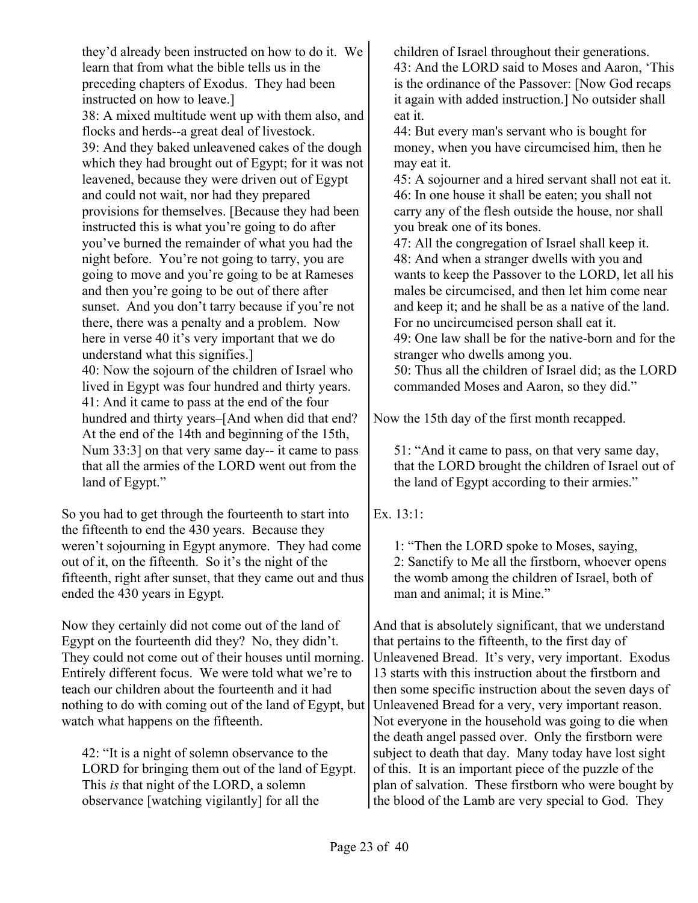they'd already been instructed on how to do it. We learn that from what the bible tells us in the preceding chapters of Exodus. They had been instructed on how to leave.] 38: A mixed multitude went up with them also, and flocks and herds--a great deal of livestock. 39: And they baked unleavened cakes of the dough which they had brought out of Egypt; for it was not leavened, because they were driven out of Egypt and could not wait, nor had they prepared provisions for themselves. [Because they had been instructed this is what you're going to do after you've burned the remainder of what you had the night before. You're not going to tarry, you are going to move and you're going to be at Rameses and then you're going to be out of there after sunset. And you don't tarry because if you're not there, there was a penalty and a problem. Now here in verse 40 it's very important that we do understand what this signifies.] 40: Now the sojourn of the children of Israel who lived in Egypt was four hundred and thirty years. 41: And it came to pass at the end of the four hundred and thirty years–[And when did that end? At the end of the 14th and beginning of the 15th, Num 33:3] on that very same day-- it came to pass that all the armies of the LORD went out from the land of Egypt."

So you had to get through the fourteenth to start into the fifteenth to end the 430 years. Because they weren't sojourning in Egypt anymore. They had come out of it, on the fifteenth. So it's the night of the fifteenth, right after sunset, that they came out and thus ended the 430 years in Egypt.

Now they certainly did not come out of the land of Egypt on the fourteenth did they? No, they didn't. They could not come out of their houses until morning. Entirely different focus. We were told what we're to teach our children about the fourteenth and it had nothing to do with coming out of the land of Egypt, but watch what happens on the fifteenth.

42: "It is a night of solemn observance to the LORD for bringing them out of the land of Egypt. This *is* that night of the LORD, a solemn observance [watching vigilantly] for all the

children of Israel throughout their generations. 43: And the LORD said to Moses and Aaron, 'This is the ordinance of the Passover: [Now God recaps it again with added instruction.] No outsider shall eat it.

44: But every man's servant who is bought for money, when you have circumcised him, then he may eat it.

45: A sojourner and a hired servant shall not eat it. 46: In one house it shall be eaten; you shall not carry any of the flesh outside the house, nor shall you break one of its bones.

47: All the congregation of Israel shall keep it. 48: And when a stranger dwells with you and wants to keep the Passover to the LORD, let all his males be circumcised, and then let him come near and keep it; and he shall be as a native of the land. For no uncircumcised person shall eat it. 49: One law shall be for the native-born and for the stranger who dwells among you. 50: Thus all the children of Israel did; as the LORD commanded Moses and Aaron, so they did."

Now the 15th day of the first month recapped.

51: "And it came to pass, on that very same day, that the LORD brought the children of Israel out of the land of Egypt according to their armies."

Ex. 13:1:

1: "Then the LORD spoke to Moses, saying, 2: Sanctify to Me all the firstborn, whoever opens the womb among the children of Israel, both of man and animal; it is Mine."

And that is absolutely significant, that we understand that pertains to the fifteenth, to the first day of Unleavened Bread. It's very, very important. Exodus 13 starts with this instruction about the firstborn and then some specific instruction about the seven days of Unleavened Bread for a very, very important reason. Not everyone in the household was going to die when the death angel passed over. Only the firstborn were subject to death that day. Many today have lost sight of this. It is an important piece of the puzzle of the plan of salvation. These firstborn who were bought by the blood of the Lamb are very special to God. They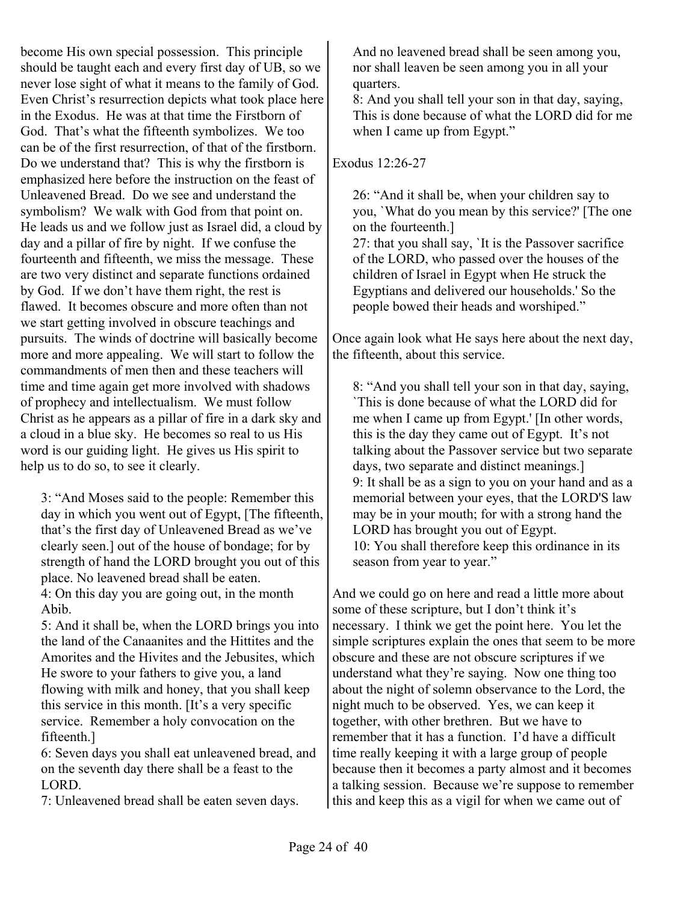become His own special possession. This principle should be taught each and every first day of UB, so we never lose sight of what it means to the family of God. Even Christ's resurrection depicts what took place here in the Exodus. He was at that time the Firstborn of God. That's what the fifteenth symbolizes. We too can be of the first resurrection, of that of the firstborn. Do we understand that? This is why the firstborn is emphasized here before the instruction on the feast of Unleavened Bread. Do we see and understand the symbolism? We walk with God from that point on. He leads us and we follow just as Israel did, a cloud by day and a pillar of fire by night. If we confuse the fourteenth and fifteenth, we miss the message. These are two very distinct and separate functions ordained by God. If we don't have them right, the rest is flawed. It becomes obscure and more often than not we start getting involved in obscure teachings and pursuits. The winds of doctrine will basically become more and more appealing. We will start to follow the commandments of men then and these teachers will time and time again get more involved with shadows of prophecy and intellectualism. We must follow Christ as he appears as a pillar of fire in a dark sky and a cloud in a blue sky. He becomes so real to us His word is our guiding light. He gives us His spirit to help us to do so, to see it clearly.

3: "And Moses said to the people: Remember this day in which you went out of Egypt, [The fifteenth, that's the first day of Unleavened Bread as we've clearly seen.] out of the house of bondage; for by strength of hand the LORD brought you out of this place. No leavened bread shall be eaten. 4: On this day you are going out, in the month

Abib. 5: And it shall be, when the LORD brings you into the land of the Canaanites and the Hittites and the Amorites and the Hivites and the Jebusites, which

He swore to your fathers to give you, a land flowing with milk and honey, that you shall keep this service in this month. [It's a very specific service. Remember a holy convocation on the fifteenth.]

6: Seven days you shall eat unleavened bread, and on the seventh day there shall be a feast to the LORD.

7: Unleavened bread shall be eaten seven days.

And no leavened bread shall be seen among you, nor shall leaven be seen among you in all your quarters.

8: And you shall tell your son in that day, saying, This is done because of what the LORD did for me when I came up from Egypt."

Exodus 12:26-27

26: "And it shall be, when your children say to you, `What do you mean by this service?' [The one on the fourteenth.]

27: that you shall say, `It is the Passover sacrifice of the LORD, who passed over the houses of the children of Israel in Egypt when He struck the Egyptians and delivered our households.' So the people bowed their heads and worshiped."

Once again look what He says here about the next day, the fifteenth, about this service.

8: "And you shall tell your son in that day, saying, `This is done because of what the LORD did for me when I came up from Egypt.' [In other words, this is the day they came out of Egypt. It's not talking about the Passover service but two separate days, two separate and distinct meanings.] 9: It shall be as a sign to you on your hand and as a memorial between your eyes, that the LORD'S law may be in your mouth; for with a strong hand the LORD has brought you out of Egypt. 10: You shall therefore keep this ordinance in its season from year to year."

And we could go on here and read a little more about some of these scripture, but I don't think it's necessary. I think we get the point here. You let the simple scriptures explain the ones that seem to be more obscure and these are not obscure scriptures if we understand what they're saying. Now one thing too about the night of solemn observance to the Lord, the night much to be observed. Yes, we can keep it together, with other brethren. But we have to remember that it has a function. I'd have a difficult time really keeping it with a large group of people because then it becomes a party almost and it becomes a talking session. Because we're suppose to remember this and keep this as a vigil for when we came out of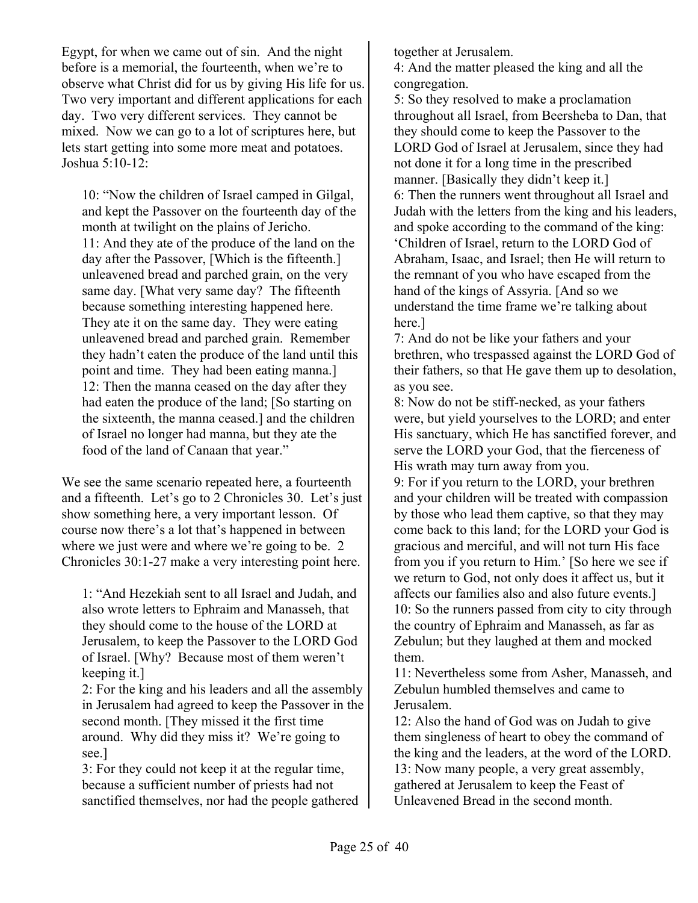Egypt, for when we came out of sin. And the night before is a memorial, the fourteenth, when we're to observe what Christ did for us by giving His life for us. Two very important and different applications for each day. Two very different services. They cannot be mixed. Now we can go to a lot of scriptures here, but lets start getting into some more meat and potatoes. Joshua 5:10-12:

10: "Now the children of Israel camped in Gilgal, and kept the Passover on the fourteenth day of the month at twilight on the plains of Jericho. 11: And they ate of the produce of the land on the day after the Passover, [Which is the fifteenth.] unleavened bread and parched grain, on the very same day. [What very same day? The fifteenth because something interesting happened here. They ate it on the same day. They were eating unleavened bread and parched grain. Remember they hadn't eaten the produce of the land until this point and time. They had been eating manna.] 12: Then the manna ceased on the day after they had eaten the produce of the land; [So starting on the sixteenth, the manna ceased.] and the children of Israel no longer had manna, but they ate the food of the land of Canaan that year."

We see the same scenario repeated here, a fourteenth and a fifteenth. Let's go to 2 Chronicles 30. Let's just show something here, a very important lesson. Of course now there's a lot that's happened in between where we just were and where we're going to be. 2 Chronicles 30:1-27 make a very interesting point here.

1: "And Hezekiah sent to all Israel and Judah, and also wrote letters to Ephraim and Manasseh, that they should come to the house of the LORD at Jerusalem, to keep the Passover to the LORD God of Israel. [Why? Because most of them weren't keeping it.]

2: For the king and his leaders and all the assembly in Jerusalem had agreed to keep the Passover in the second month. [They missed it the first time around. Why did they miss it? We're going to see.]

3: For they could not keep it at the regular time, because a sufficient number of priests had not sanctified themselves, nor had the people gathered together at Jerusalem.

4: And the matter pleased the king and all the congregation.

5: So they resolved to make a proclamation throughout all Israel, from Beersheba to Dan, that they should come to keep the Passover to the LORD God of Israel at Jerusalem, since they had not done it for a long time in the prescribed manner. [Basically they didn't keep it.] 6: Then the runners went throughout all Israel and Judah with the letters from the king and his leaders, and spoke according to the command of the king: 'Children of Israel, return to the LORD God of Abraham, Isaac, and Israel; then He will return to the remnant of you who have escaped from the hand of the kings of Assyria. [And so we understand the time frame we're talking about here.]

7: And do not be like your fathers and your brethren, who trespassed against the LORD God of their fathers, so that He gave them up to desolation, as you see.

8: Now do not be stiff-necked, as your fathers were, but yield yourselves to the LORD; and enter His sanctuary, which He has sanctified forever, and serve the LORD your God, that the fierceness of His wrath may turn away from you.

9: For if you return to the LORD, your brethren and your children will be treated with compassion by those who lead them captive, so that they may come back to this land; for the LORD your God is gracious and merciful, and will not turn His face from you if you return to Him.' [So here we see if we return to God, not only does it affect us, but it affects our families also and also future events.] 10: So the runners passed from city to city through the country of Ephraim and Manasseh, as far as Zebulun; but they laughed at them and mocked them.

11: Nevertheless some from Asher, Manasseh, and Zebulun humbled themselves and came to Jerusalem.

12: Also the hand of God was on Judah to give them singleness of heart to obey the command of the king and the leaders, at the word of the LORD. 13: Now many people, a very great assembly, gathered at Jerusalem to keep the Feast of Unleavened Bread in the second month.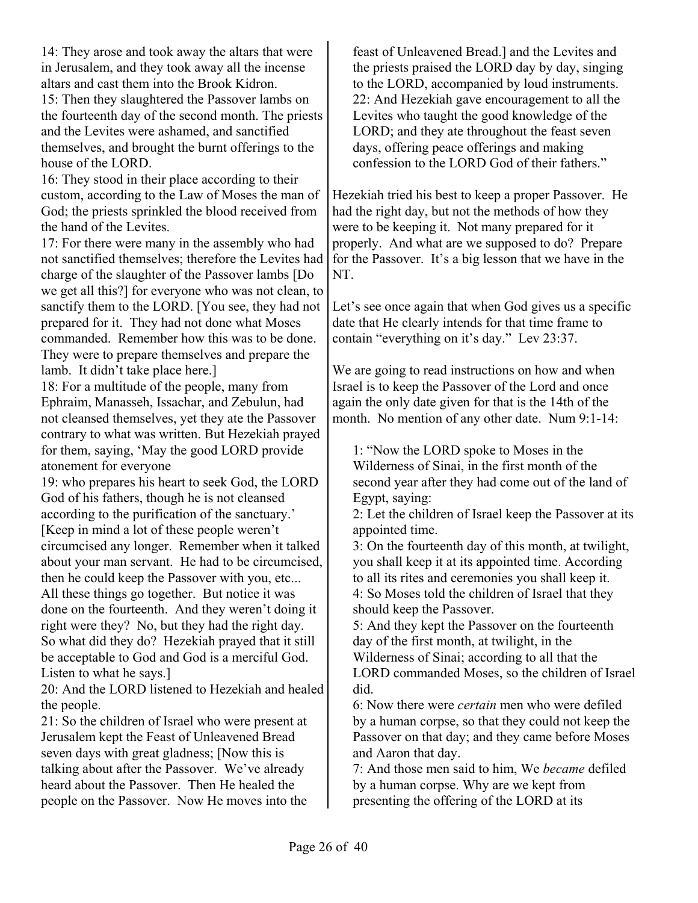14: They arose and took away the altars that were in Jerusalem, and they took away all the incense altars and cast them into the Brook Kidron.

15: Then they slaughtered the Passover lambs on the fourteenth day of the second month. The priests and the Levites were ashamed, and sanctified themselves, and brought the burnt offerings to the house of the LORD.

16: They stood in their place according to their custom, according to the Law of Moses the man of God; the priests sprinkled the blood received from the hand of the Levites.

17: For there were many in the assembly who had not sanctified themselves; therefore the Levites had charge of the slaughter of the Passover lambs [Do we get all this?] for everyone who was not clean, to sanctify them to the LORD. [You see, they had not prepared for it. They had not done what Moses commanded. Remember how this was to be done. They were to prepare themselves and prepare the lamb. It didn't take place here.]

18: For a multitude of the people, many from Ephraim, Manasseh, Issachar, and Zebulun, had not cleansed themselves, yet they ate the Passover contrary to what was written. But Hezekiah prayed for them, saying, 'May the good LORD provide atonement for everyone

19: who prepares his heart to seek God, the LORD God of his fathers, though he is not cleansed according to the purification of the sanctuary.' [Keep in mind a lot of these people weren't circumcised any longer. Remember when it talked about your man servant. He had to be circumcised, then he could keep the Passover with you, etc... All these things go together. But notice it was done on the fourteenth. And they weren't doing it right were they? No, but they had the right day. So what did they do? Hezekiah prayed that it still be acceptable to God and God is a merciful God. Listen to what he says.]

20: And the LORD listened to Hezekiah and healed the people.

21: So the children of Israel who were present at Jerusalem kept the Feast of Unleavened Bread seven days with great gladness; [Now this is talking about after the Passover. We've already heard about the Passover. Then He healed the people on the Passover. Now He moves into the

feast of Unleavened Bread.] and the Levites and the priests praised the LORD day by day, singing to the LORD, accompanied by loud instruments. 22: And Hezekiah gave encouragement to all the Levites who taught the good knowledge of the LORD; and they ate throughout the feast seven days, offering peace offerings and making confession to the LORD God of their fathers."

Hezekiah tried his best to keep a proper Passover. He had the right day, but not the methods of how they were to be keeping it. Not many prepared for it properly. And what are we supposed to do? Prepare for the Passover. It's a big lesson that we have in the NT.

Let's see once again that when God gives us a specific date that He clearly intends for that time frame to contain "everything on it's day." Lev 23:37.

We are going to read instructions on how and when Israel is to keep the Passover of the Lord and once again the only date given for that is the 14th of the month. No mention of any other date. Num 9:1-14:

1: "Now the LORD spoke to Moses in the Wilderness of Sinai, in the first month of the second year after they had come out of the land of Egypt, saying:

2: Let the children of Israel keep the Passover at its appointed time.

3: On the fourteenth day of this month, at twilight, you shall keep it at its appointed time. According to all its rites and ceremonies you shall keep it. 4: So Moses told the children of Israel that they should keep the Passover.

5: And they kept the Passover on the fourteenth day of the first month, at twilight, in the Wilderness of Sinai; according to all that the LORD commanded Moses, so the children of Israel did.

6: Now there were *certain* men who were defiled by a human corpse, so that they could not keep the Passover on that day; and they came before Moses and Aaron that day.

7: And those men said to him, We *became* defiled by a human corpse. Why are we kept from presenting the offering of the LORD at its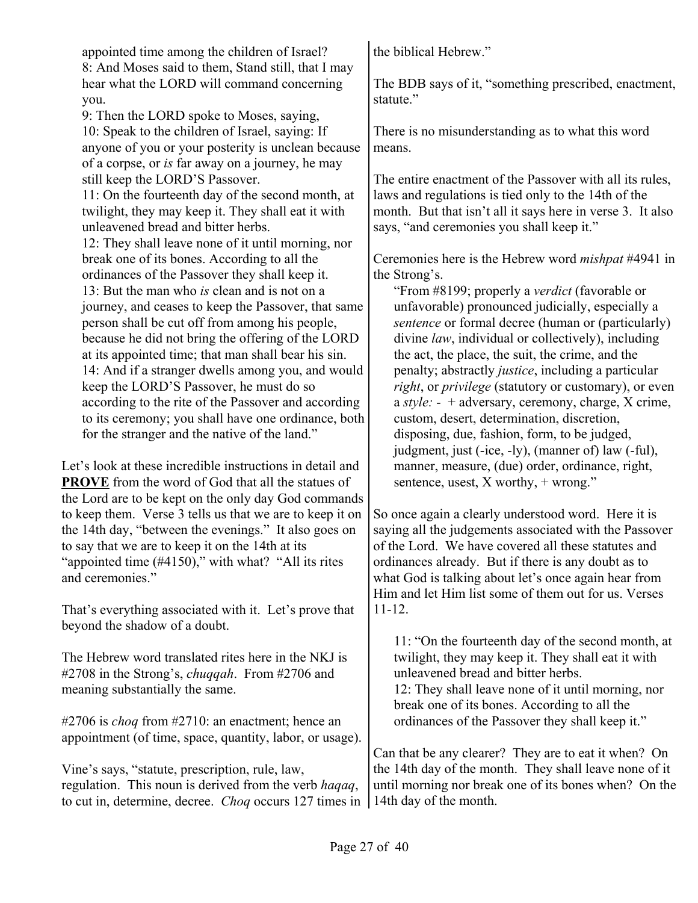appointed time among the children of Israel? 8: And Moses said to them, Stand still, that I may hear what the LORD will command concerning you.

9: Then the LORD spoke to Moses, saying, 10: Speak to the children of Israel, saying: If anyone of you or your posterity is unclean because of a corpse, or *is* far away on a journey, he may still keep the LORD'S Passover.

11: On the fourteenth day of the second month, at twilight, they may keep it. They shall eat it with unleavened bread and bitter herbs.

12: They shall leave none of it until morning, nor break one of its bones. According to all the ordinances of the Passover they shall keep it. 13: But the man who *is* clean and is not on a journey, and ceases to keep the Passover, that same person shall be cut off from among his people, because he did not bring the offering of the LORD at its appointed time; that man shall bear his sin. 14: And if a stranger dwells among you, and would keep the LORD'S Passover, he must do so according to the rite of the Passover and according to its ceremony; you shall have one ordinance, both for the stranger and the native of the land."

Let's look at these incredible instructions in detail and **PROVE** from the word of God that all the statues of the Lord are to be kept on the only day God commands to keep them. Verse 3 tells us that we are to keep it on the 14th day, "between the evenings." It also goes on to say that we are to keep it on the 14th at its "appointed time (#4150)," with what? "All its rites and ceremonies."

That's everything associated with it. Let's prove that beyond the shadow of a doubt.

The Hebrew word translated rites here in the NKJ is #2708 in the Strong's, *chuqqah*. From #2706 and meaning substantially the same.

#2706 is *choq* from #2710: an enactment; hence an appointment (of time, space, quantity, labor, or usage).

Vine's says, "statute, prescription, rule, law, regulation. This noun is derived from the verb *haqaq*, to cut in, determine, decree. *Choq* occurs 127 times in 14th day of the month.

the biblical Hebrew."

The BDB says of it, "something prescribed, enactment, statute."

There is no misunderstanding as to what this word means.

The entire enactment of the Passover with all its rules, laws and regulations is tied only to the 14th of the month. But that isn't all it says here in verse 3. It also says, "and ceremonies you shall keep it."

Ceremonies here is the Hebrew word *mishpat* #4941 in the Strong's.

"From #8199; properly a *verdict* (favorable or unfavorable) pronounced judicially, especially a *sentence* or formal decree (human or (particularly) divine *law*, individual or collectively), including the act, the place, the suit, the crime, and the penalty; abstractly *justice*, including a particular *right*, or *privilege* (statutory or customary), or even a *style: -* + adversary, ceremony, charge, X crime, custom, desert, determination, discretion, disposing, due, fashion, form, to be judged, judgment, just (-ice, -ly), (manner of) law (-ful), manner, measure, (due) order, ordinance, right, sentence, usest, X worthy, + wrong."

So once again a clearly understood word. Here it is saying all the judgements associated with the Passover of the Lord. We have covered all these statutes and ordinances already. But if there is any doubt as to what God is talking about let's once again hear from Him and let Him list some of them out for us. Verses 11-12.

11: "On the fourteenth day of the second month, at twilight, they may keep it. They shall eat it with unleavened bread and bitter herbs. 12: They shall leave none of it until morning, nor break one of its bones. According to all the ordinances of the Passover they shall keep it."

Can that be any clearer? They are to eat it when? On the 14th day of the month. They shall leave none of it until morning nor break one of its bones when? On the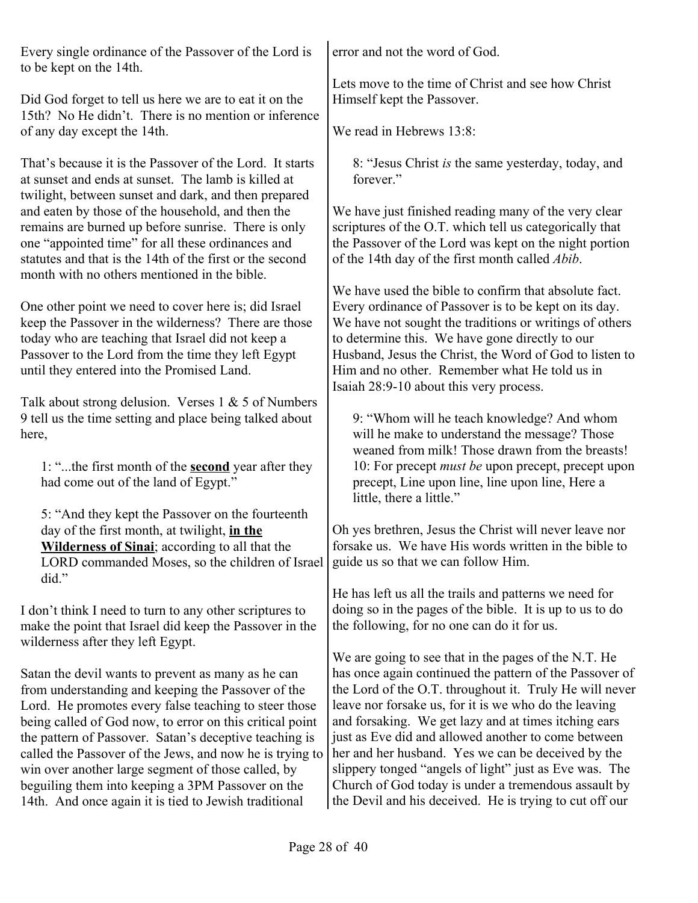Every single ordinance of the Passover of the Lord is to be kept on the 14th.

Did God forget to tell us here we are to eat it on the 15th? No He didn't. There is no mention or inference of any day except the 14th.

That's because it is the Passover of the Lord. It starts at sunset and ends at sunset. The lamb is killed at twilight, between sunset and dark, and then prepared and eaten by those of the household, and then the remains are burned up before sunrise. There is only one "appointed time" for all these ordinances and statutes and that is the 14th of the first or the second month with no others mentioned in the bible.

One other point we need to cover here is; did Israel keep the Passover in the wilderness? There are those today who are teaching that Israel did not keep a Passover to the Lord from the time they left Egypt until they entered into the Promised Land.

Talk about strong delusion. Verses  $1 \& 5$  of Numbers 9 tell us the time setting and place being talked about here,

1: "...the first month of the **second** year after they had come out of the land of Egypt."

5: "And they kept the Passover on the fourteenth day of the first month, at twilight, **in the Wilderness of Sinai**; according to all that the LORD commanded Moses, so the children of Israel did."

I don't think I need to turn to any other scriptures to make the point that Israel did keep the Passover in the wilderness after they left Egypt.

Satan the devil wants to prevent as many as he can from understanding and keeping the Passover of the Lord. He promotes every false teaching to steer those being called of God now, to error on this critical point the pattern of Passover. Satan's deceptive teaching is called the Passover of the Jews, and now he is trying to win over another large segment of those called, by beguiling them into keeping a 3PM Passover on the 14th. And once again it is tied to Jewish traditional

error and not the word of God.

Lets move to the time of Christ and see how Christ Himself kept the Passover.

We read in Hebrews 13:8:

8: "Jesus Christ *is* the same yesterday, today, and forever."

We have just finished reading many of the very clear scriptures of the O.T. which tell us categorically that the Passover of the Lord was kept on the night portion of the 14th day of the first month called *Abib*.

We have used the bible to confirm that absolute fact. Every ordinance of Passover is to be kept on its day. We have not sought the traditions or writings of others to determine this. We have gone directly to our Husband, Jesus the Christ, the Word of God to listen to Him and no other. Remember what He told us in Isaiah 28:9-10 about this very process.

9: "Whom will he teach knowledge? And whom will he make to understand the message? Those weaned from milk! Those drawn from the breasts! 10: For precept *must be* upon precept, precept upon precept, Line upon line, line upon line, Here a little, there a little."

Oh yes brethren, Jesus the Christ will never leave nor forsake us. We have His words written in the bible to guide us so that we can follow Him.

He has left us all the trails and patterns we need for doing so in the pages of the bible. It is up to us to do the following, for no one can do it for us.

We are going to see that in the pages of the N.T. He has once again continued the pattern of the Passover of the Lord of the O.T. throughout it. Truly He will never leave nor forsake us, for it is we who do the leaving and forsaking. We get lazy and at times itching ears just as Eve did and allowed another to come between her and her husband. Yes we can be deceived by the slippery tonged "angels of light" just as Eve was. The Church of God today is under a tremendous assault by the Devil and his deceived. He is trying to cut off our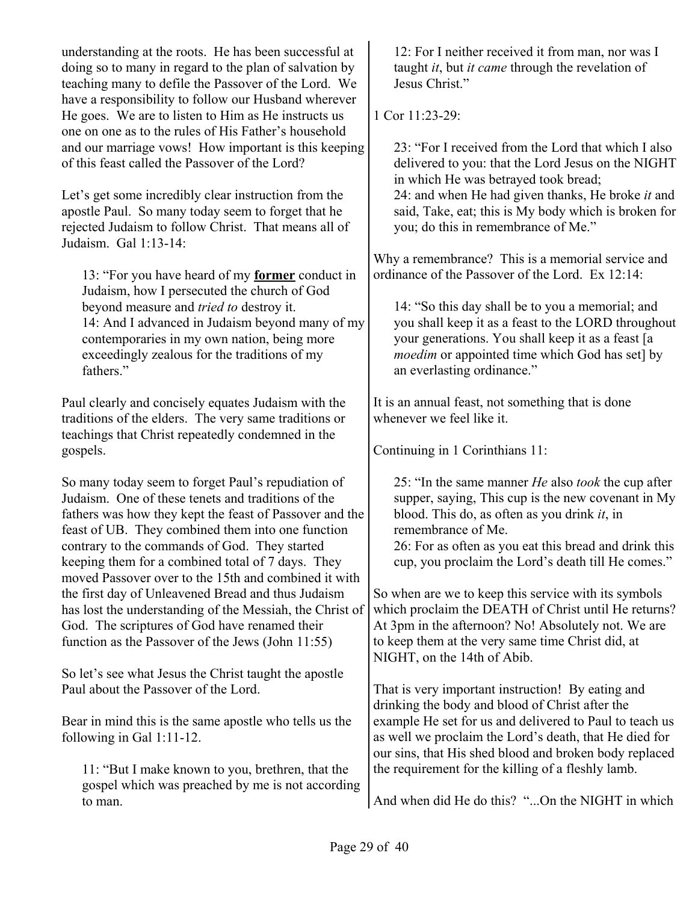understanding at the roots. He has been successful at doing so to many in regard to the plan of salvation by teaching many to defile the Passover of the Lord. We have a responsibility to follow our Husband wherever He goes. We are to listen to Him as He instructs us one on one as to the rules of His Father's household and our marriage vows! How important is this keeping of this feast called the Passover of the Lord?

Let's get some incredibly clear instruction from the apostle Paul. So many today seem to forget that he rejected Judaism to follow Christ. That means all of Judaism. Gal 1:13-14:

13: "For you have heard of my **former** conduct in Judaism, how I persecuted the church of God beyond measure and *tried to* destroy it. 14: And I advanced in Judaism beyond many of my contemporaries in my own nation, being more exceedingly zealous for the traditions of my fathers."

Paul clearly and concisely equates Judaism with the traditions of the elders. The very same traditions or teachings that Christ repeatedly condemned in the gospels.

So many today seem to forget Paul's repudiation of Judaism. One of these tenets and traditions of the fathers was how they kept the feast of Passover and the feast of UB. They combined them into one function contrary to the commands of God. They started keeping them for a combined total of 7 days. They moved Passover over to the 15th and combined it with the first day of Unleavened Bread and thus Judaism has lost the understanding of the Messiah, the Christ of God. The scriptures of God have renamed their function as the Passover of the Jews (John 11:55)

So let's see what Jesus the Christ taught the apostle Paul about the Passover of the Lord.

Bear in mind this is the same apostle who tells us the following in Gal 1:11-12.

11: "But I make known to you, brethren, that the gospel which was preached by me is not according to man.

12: For I neither received it from man, nor was I taught *it*, but *it came* through the revelation of Jesus Christ."

1 Cor  $11.23-29$ 

23: "For I received from the Lord that which I also delivered to you: that the Lord Jesus on the NIGHT in which He was betrayed took bread; 24: and when He had given thanks, He broke *it* and said, Take, eat; this is My body which is broken for you; do this in remembrance of Me."

Why a remembrance? This is a memorial service and ordinance of the Passover of the Lord. Ex 12:14:

14: "So this day shall be to you a memorial; and you shall keep it as a feast to the LORD throughout your generations. You shall keep it as a feast [a *moedim* or appointed time which God has set] by an everlasting ordinance."

It is an annual feast, not something that is done whenever we feel like it.

Continuing in 1 Corinthians 11:

25: "In the same manner *He* also *took* the cup after supper, saying, This cup is the new covenant in My blood. This do, as often as you drink *it*, in remembrance of Me.

26: For as often as you eat this bread and drink this cup, you proclaim the Lord's death till He comes."

So when are we to keep this service with its symbols which proclaim the DEATH of Christ until He returns? At 3pm in the afternoon? No! Absolutely not. We are to keep them at the very same time Christ did, at NIGHT, on the 14th of Abib.

That is very important instruction! By eating and drinking the body and blood of Christ after the example He set for us and delivered to Paul to teach us as well we proclaim the Lord's death, that He died for our sins, that His shed blood and broken body replaced the requirement for the killing of a fleshly lamb.

And when did He do this? "...On the NIGHT in which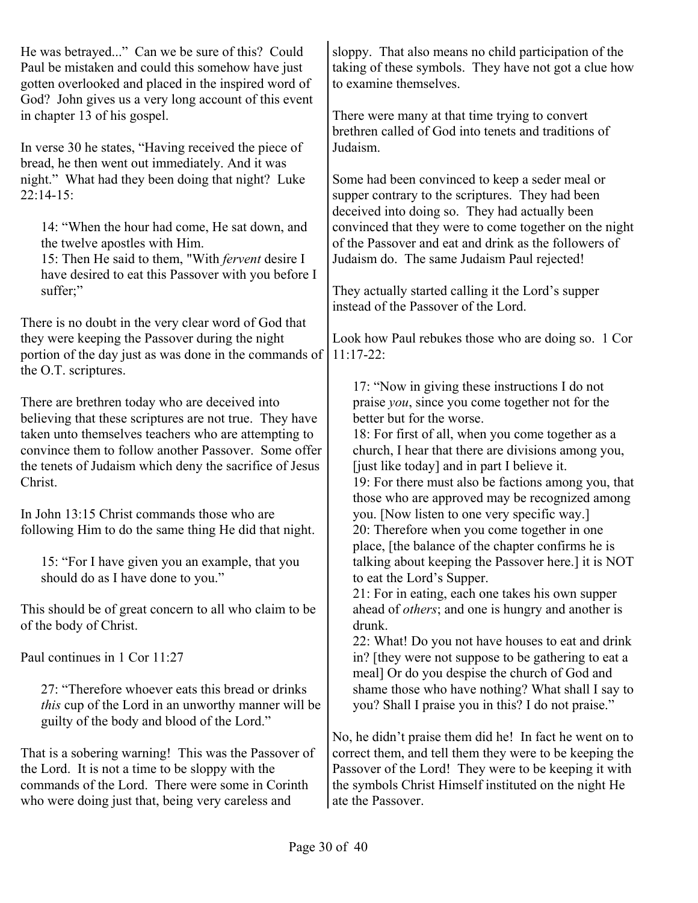| He was betrayed" Can we be sure of this? Could<br>Paul be mistaken and could this somehow have just<br>gotten overlooked and placed in the inspired word of<br>God? John gives us a very long account of this event<br>in chapter 13 of his gospel. | sloppy. That also means no child participation of the<br>taking of these symbols. They have not got a clue how<br>to examine themselves.<br>There were many at that time trying to convert<br>brethren called of God into tenets and traditions of |
|-----------------------------------------------------------------------------------------------------------------------------------------------------------------------------------------------------------------------------------------------------|----------------------------------------------------------------------------------------------------------------------------------------------------------------------------------------------------------------------------------------------------|
| In verse 30 he states, "Having received the piece of<br>bread, he then went out immediately. And it was<br>night." What had they been doing that night? Luke                                                                                        | Judaism.<br>Some had been convinced to keep a seder meal or                                                                                                                                                                                        |
| $22:14-15$ :<br>14: "When the hour had come, He sat down, and                                                                                                                                                                                       | supper contrary to the scriptures. They had been<br>deceived into doing so. They had actually been<br>convinced that they were to come together on the night                                                                                       |
| the twelve apostles with Him.<br>15: Then He said to them, "With fervent desire I<br>have desired to eat this Passover with you before I                                                                                                            | of the Passover and eat and drink as the followers of<br>Judaism do. The same Judaism Paul rejected!                                                                                                                                               |
| suffer;"<br>There is no doubt in the very clear word of God that                                                                                                                                                                                    | They actually started calling it the Lord's supper<br>instead of the Passover of the Lord.                                                                                                                                                         |
| they were keeping the Passover during the night<br>portion of the day just as was done in the commands of<br>the O.T. scriptures.                                                                                                                   | Look how Paul rebukes those who are doing so. 1 Cor<br>$11:17-22$ :                                                                                                                                                                                |
| There are brethren today who are deceived into                                                                                                                                                                                                      | 17: "Now in giving these instructions I do not<br>praise you, since you come together not for the                                                                                                                                                  |
| believing that these scriptures are not true. They have                                                                                                                                                                                             | better but for the worse.                                                                                                                                                                                                                          |
| taken unto themselves teachers who are attempting to<br>convince them to follow another Passover. Some offer<br>the tenets of Judaism which deny the sacrifice of Jesus<br>Christ.                                                                  | 18: For first of all, when you come together as a<br>church, I hear that there are divisions among you,<br>[just like today] and in part I believe it.<br>19: For there must also be factions among you, that                                      |
| In John 13:15 Christ commands those who are<br>following Him to do the same thing He did that night.                                                                                                                                                | those who are approved may be recognized among<br>you. [Now listen to one very specific way.]<br>20: Therefore when you come together in one                                                                                                       |
| 15: "For I have given you an example, that you<br>should do as I have done to you."                                                                                                                                                                 | place, [the balance of the chapter confirms he is<br>talking about keeping the Passover here.] it is NOT<br>to eat the Lord's Supper.                                                                                                              |
| This should be of great concern to all who claim to be<br>of the body of Christ.                                                                                                                                                                    | 21: For in eating, each one takes his own supper<br>ahead of <i>others</i> ; and one is hungry and another is<br>drunk.                                                                                                                            |
| Paul continues in 1 Cor 11:27                                                                                                                                                                                                                       | 22: What! Do you not have houses to eat and drink<br>in? [they were not suppose to be gathering to eat a<br>meal] Or do you despise the church of God and                                                                                          |
| 27: "Therefore whoever eats this bread or drinks<br><i>this</i> cup of the Lord in an unworthy manner will be<br>guilty of the body and blood of the Lord."                                                                                         | shame those who have nothing? What shall I say to<br>you? Shall I praise you in this? I do not praise."                                                                                                                                            |
|                                                                                                                                                                                                                                                     | No, he didn't praise them did he! In fact he went on to                                                                                                                                                                                            |
| That is a sobering warning! This was the Passover of<br>the Lord. It is not a time to be sloppy with the                                                                                                                                            | correct them, and tell them they were to be keeping the<br>Passover of the Lord! They were to be keeping it with                                                                                                                                   |
| commands of the Lord. There were some in Corinth<br>who were doing just that, being very careless and                                                                                                                                               | the symbols Christ Himself instituted on the night He<br>ate the Passover.                                                                                                                                                                         |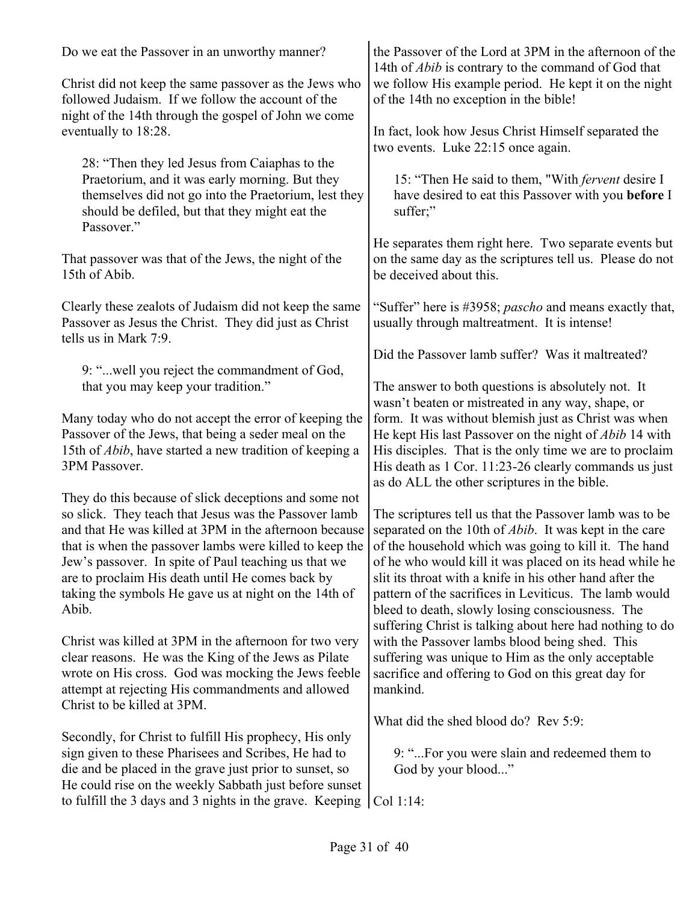| Do we eat the Passover in an unworthy manner?                                                                                                                                                                                                                                                                                                                                                                                                                           | the Passover of the Lord at 3PM in the afternoon of the<br>14th of <i>Abib</i> is contrary to the command of God that                                                                                                                                                                                                                                                                                                      |
|-------------------------------------------------------------------------------------------------------------------------------------------------------------------------------------------------------------------------------------------------------------------------------------------------------------------------------------------------------------------------------------------------------------------------------------------------------------------------|----------------------------------------------------------------------------------------------------------------------------------------------------------------------------------------------------------------------------------------------------------------------------------------------------------------------------------------------------------------------------------------------------------------------------|
| Christ did not keep the same passover as the Jews who<br>followed Judaism. If we follow the account of the<br>night of the 14th through the gospel of John we come                                                                                                                                                                                                                                                                                                      | we follow His example period. He kept it on the night<br>of the 14th no exception in the bible!                                                                                                                                                                                                                                                                                                                            |
| eventually to 18:28.                                                                                                                                                                                                                                                                                                                                                                                                                                                    | In fact, look how Jesus Christ Himself separated the<br>two events. Luke 22:15 once again.                                                                                                                                                                                                                                                                                                                                 |
| 28: "Then they led Jesus from Caiaphas to the<br>Praetorium, and it was early morning. But they<br>themselves did not go into the Praetorium, lest they<br>should be defiled, but that they might eat the<br>Passover."                                                                                                                                                                                                                                                 | 15: "Then He said to them, "With <i>fervent</i> desire I<br>have desired to eat this Passover with you before I<br>suffer;"                                                                                                                                                                                                                                                                                                |
| That passover was that of the Jews, the night of the<br>15th of Abib.                                                                                                                                                                                                                                                                                                                                                                                                   | He separates them right here. Two separate events but<br>on the same day as the scriptures tell us. Please do not<br>be deceived about this.                                                                                                                                                                                                                                                                               |
| Clearly these zealots of Judaism did not keep the same<br>Passover as Jesus the Christ. They did just as Christ<br>tells us in Mark 7:9.                                                                                                                                                                                                                                                                                                                                | "Suffer" here is #3958; <i>pascho</i> and means exactly that,<br>usually through maltreatment. It is intense!                                                                                                                                                                                                                                                                                                              |
|                                                                                                                                                                                                                                                                                                                                                                                                                                                                         | Did the Passover lamb suffer? Was it maltreated?                                                                                                                                                                                                                                                                                                                                                                           |
| 9: " well you reject the commandment of God,<br>that you may keep your tradition."                                                                                                                                                                                                                                                                                                                                                                                      | The answer to both questions is absolutely not. It<br>wasn't beaten or mistreated in any way, shape, or                                                                                                                                                                                                                                                                                                                    |
| Many today who do not accept the error of keeping the<br>Passover of the Jews, that being a seder meal on the<br>15th of <i>Abib</i> , have started a new tradition of keeping a<br>3PM Passover.                                                                                                                                                                                                                                                                       | form. It was without blemish just as Christ was when<br>He kept His last Passover on the night of <i>Abib</i> 14 with<br>His disciples. That is the only time we are to proclaim<br>His death as 1 Cor. 11:23-26 clearly commands us just<br>as do ALL the other scriptures in the bible.                                                                                                                                  |
| They do this because of slick deceptions and some not<br>so slick. They teach that Jesus was the Passover lamb<br>and that He was killed at 3PM in the afternoon because<br>that is when the passover lambs were killed to keep the of the household which was going to kill it. The hand<br>Jew's passover. In spite of Paul teaching us that we<br>are to proclaim His death until He comes back by<br>taking the symbols He gave us at night on the 14th of<br>Abib. | The scriptures tell us that the Passover lamb was to be<br>separated on the 10th of <i>Abib</i> . It was kept in the care<br>of he who would kill it was placed on its head while he<br>slit its throat with a knife in his other hand after the<br>pattern of the sacrifices in Leviticus. The lamb would<br>bleed to death, slowly losing consciousness. The<br>suffering Christ is talking about here had nothing to do |
| Christ was killed at 3PM in the afternoon for two very<br>clear reasons. He was the King of the Jews as Pilate<br>wrote on His cross. God was mocking the Jews feeble<br>attempt at rejecting His commandments and allowed                                                                                                                                                                                                                                              | with the Passover lambs blood being shed. This<br>suffering was unique to Him as the only acceptable<br>sacrifice and offering to God on this great day for<br>mankind.                                                                                                                                                                                                                                                    |
| Christ to be killed at 3PM.                                                                                                                                                                                                                                                                                                                                                                                                                                             | What did the shed blood do? Rev 5:9:                                                                                                                                                                                                                                                                                                                                                                                       |
| Secondly, for Christ to fulfill His prophecy, His only<br>sign given to these Pharisees and Scribes, He had to<br>die and be placed in the grave just prior to sunset, so<br>He could rise on the weekly Sabbath just before sunset                                                                                                                                                                                                                                     | 9: "For you were slain and redeemed them to<br>God by your blood"                                                                                                                                                                                                                                                                                                                                                          |
| to fulfill the 3 days and 3 nights in the grave. Keeping                                                                                                                                                                                                                                                                                                                                                                                                                | Col 1:14:                                                                                                                                                                                                                                                                                                                                                                                                                  |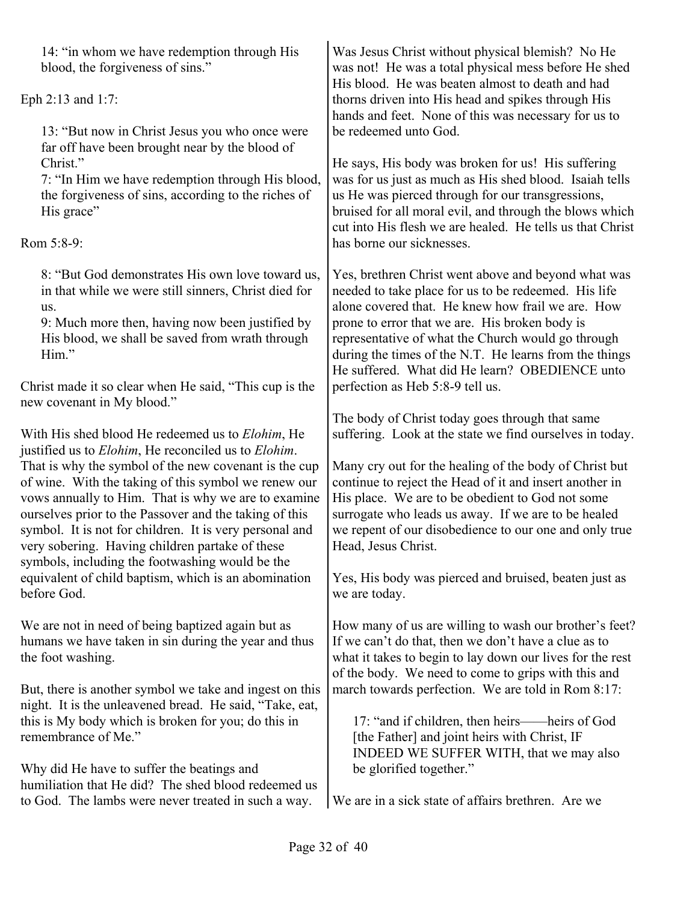14: "in whom we have redemption through His blood, the forgiveness of sins."

Eph 2:13 and 1:7:

13: "But now in Christ Jesus you who once were far off have been brought near by the blood of Christ."

7: "In Him we have redemption through His blood, the forgiveness of sins, according to the riches of His grace"

Rom 5:8-9:

8: "But God demonstrates His own love toward us, in that while we were still sinners, Christ died for us.

9: Much more then, having now been justified by His blood, we shall be saved from wrath through Him"

Christ made it so clear when He said, "This cup is the new covenant in My blood."

With His shed blood He redeemed us to *Elohim*, He justified us to *Elohim*, He reconciled us to *Elohim*. That is why the symbol of the new covenant is the cup of wine. With the taking of this symbol we renew our vows annually to Him. That is why we are to examine ourselves prior to the Passover and the taking of this symbol. It is not for children. It is very personal and very sobering. Having children partake of these symbols, including the footwashing would be the equivalent of child baptism, which is an abomination before God.

We are not in need of being baptized again but as humans we have taken in sin during the year and thus the foot washing.

But, there is another symbol we take and ingest on this night. It is the unleavened bread. He said, "Take, eat, this is My body which is broken for you; do this in remembrance of Me."

Why did He have to suffer the beatings and humiliation that He did? The shed blood redeemed us to God. The lambs were never treated in such a way.

Was Jesus Christ without physical blemish? No He was not! He was a total physical mess before He shed His blood. He was beaten almost to death and had thorns driven into His head and spikes through His hands and feet. None of this was necessary for us to be redeemed unto God.

He says, His body was broken for us! His suffering was for us just as much as His shed blood. Isaiah tells us He was pierced through for our transgressions, bruised for all moral evil, and through the blows which cut into His flesh we are healed. He tells us that Christ has borne our sicknesses.

Yes, brethren Christ went above and beyond what was needed to take place for us to be redeemed. His life alone covered that. He knew how frail we are. How prone to error that we are. His broken body is representative of what the Church would go through during the times of the N.T. He learns from the things He suffered. What did He learn? OBEDIENCE unto perfection as Heb 5:8-9 tell us.

The body of Christ today goes through that same suffering. Look at the state we find ourselves in today.

Many cry out for the healing of the body of Christ but continue to reject the Head of it and insert another in His place. We are to be obedient to God not some surrogate who leads us away. If we are to be healed we repent of our disobedience to our one and only true Head, Jesus Christ.

Yes, His body was pierced and bruised, beaten just as we are today.

How many of us are willing to wash our brother's feet? If we can't do that, then we don't have a clue as to what it takes to begin to lay down our lives for the rest of the body. We need to come to grips with this and march towards perfection. We are told in Rom 8:17:

17: "and if children, then heirs——heirs of God [the Father] and joint heirs with Christ, IF INDEED WE SUFFER WITH, that we may also be glorified together."

We are in a sick state of affairs brethren. Are we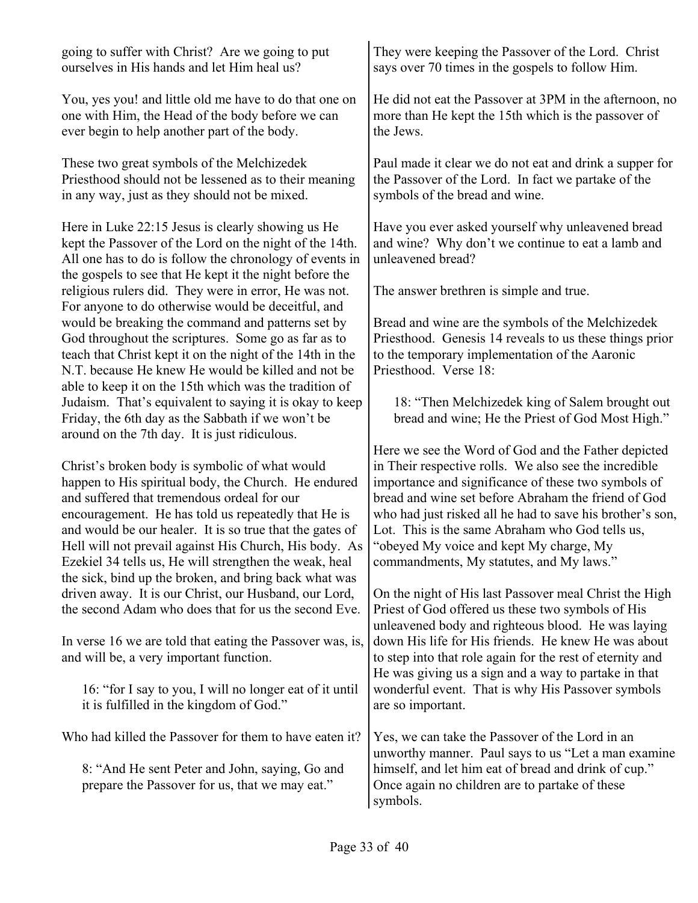| going to suffer with Christ? Are we going to put |  |
|--------------------------------------------------|--|
| ourselves in His hands and let Him heal us?      |  |

You, yes you! and little old me have to do that one on one with Him, the Head of the body before we can ever begin to help another part of the body.

These two great symbols of the Melchizedek Priesthood should not be lessened as to their meaning in any way, just as they should not be mixed.

Here in Luke 22:15 Jesus is clearly showing us He kept the Passover of the Lord on the night of the 14th. All one has to do is follow the chronology of events in the gospels to see that He kept it the night before the religious rulers did. They were in error, He was not. For anyone to do otherwise would be deceitful, and would be breaking the command and patterns set by God throughout the scriptures. Some go as far as to teach that Christ kept it on the night of the 14th in the N.T. because He knew He would be killed and not be able to keep it on the 15th which was the tradition of Judaism. That's equivalent to saying it is okay to keep Friday, the 6th day as the Sabbath if we won't be around on the 7th day. It is just ridiculous.

Christ's broken body is symbolic of what would happen to His spiritual body, the Church. He endured and suffered that tremendous ordeal for our encouragement. He has told us repeatedly that He is and would be our healer. It is so true that the gates of Hell will not prevail against His Church, His body. As Ezekiel 34 tells us, He will strengthen the weak, heal the sick, bind up the broken, and bring back what was driven away. It is our Christ, our Husband, our Lord, the second Adam who does that for us the second Eve.

In verse 16 we are told that eating the Passover was, is, and will be, a very important function.

16: "for I say to you, I will no longer eat of it until it is fulfilled in the kingdom of God."

Who had killed the Passover for them to have eaten it?

8: "And He sent Peter and John, saying, Go and prepare the Passover for us, that we may eat."

They were keeping the Passover of the Lord. Christ says over 70 times in the gospels to follow Him.

He did not eat the Passover at 3PM in the afternoon, no more than He kept the 15th which is the passover of the Jews.

Paul made it clear we do not eat and drink a supper for the Passover of the Lord. In fact we partake of the symbols of the bread and wine.

Have you ever asked yourself why unleavened bread and wine? Why don't we continue to eat a lamb and unleavened bread?

The answer brethren is simple and true.

Bread and wine are the symbols of the Melchizedek Priesthood. Genesis 14 reveals to us these things prior to the temporary implementation of the Aaronic Priesthood. Verse 18:

18: "Then Melchizedek king of Salem brought out bread and wine; He the Priest of God Most High."

Here we see the Word of God and the Father depicted in Their respective rolls. We also see the incredible importance and significance of these two symbols of bread and wine set before Abraham the friend of God who had just risked all he had to save his brother's son, Lot. This is the same Abraham who God tells us, "obeyed My voice and kept My charge, My commandments, My statutes, and My laws."

On the night of His last Passover meal Christ the High Priest of God offered us these two symbols of His unleavened body and righteous blood. He was laying down His life for His friends. He knew He was about to step into that role again for the rest of eternity and He was giving us a sign and a way to partake in that wonderful event. That is why His Passover symbols are so important.

Yes, we can take the Passover of the Lord in an unworthy manner. Paul says to us "Let a man examine himself, and let him eat of bread and drink of cup." Once again no children are to partake of these symbols.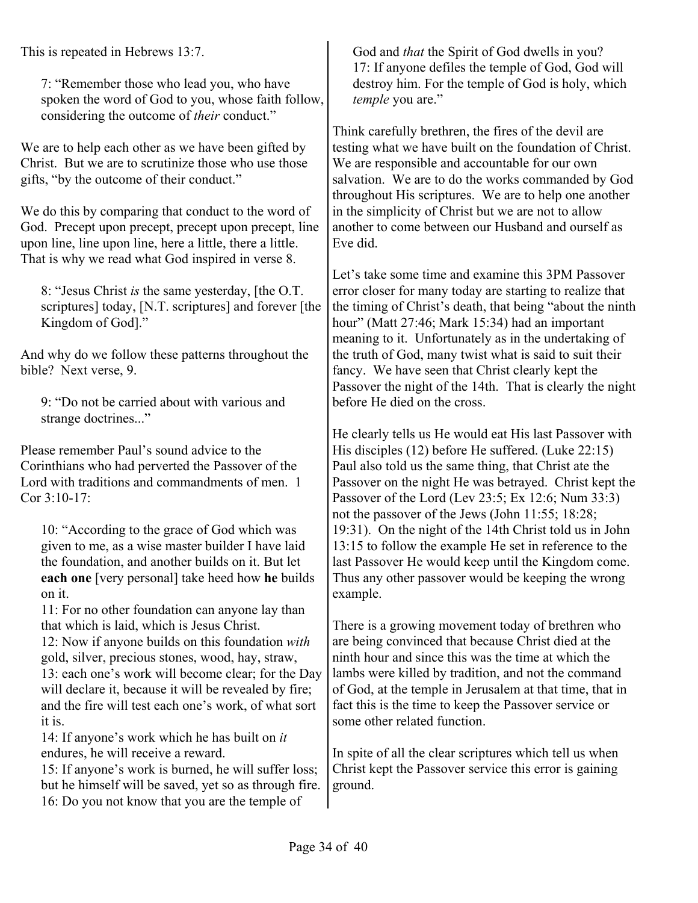This is repeated in Hebrews 13:7.

7: "Remember those who lead you, who have spoken the word of God to you, whose faith follow, considering the outcome of *their* conduct."

We are to help each other as we have been gifted by Christ. But we are to scrutinize those who use those gifts, "by the outcome of their conduct."

We do this by comparing that conduct to the word of God. Precept upon precept, precept upon precept, line upon line, line upon line, here a little, there a little. That is why we read what God inspired in verse 8.

8: "Jesus Christ *is* the same yesterday, [the O.T. scriptures] today, [N.T. scriptures] and forever [the Kingdom of God]."

And why do we follow these patterns throughout the bible? Next verse, 9.

9: "Do not be carried about with various and strange doctrines..."

Please remember Paul's sound advice to the Corinthians who had perverted the Passover of the Lord with traditions and commandments of men. 1 Cor 3:10-17:

10: "According to the grace of God which was given to me, as a wise master builder I have laid the foundation, and another builds on it. But let **each one** [very personal] take heed how **he** builds on it.

11: For no other foundation can anyone lay than that which is laid, which is Jesus Christ.

12: Now if anyone builds on this foundation *with* gold, silver, precious stones, wood, hay, straw, 13: each one's work will become clear; for the Day will declare it, because it will be revealed by fire; and the fire will test each one's work, of what sort it is.

14: If anyone's work which he has built on *it* endures, he will receive a reward.

15: If anyone's work is burned, he will suffer loss; but he himself will be saved, yet so as through fire. 16: Do you not know that you are the temple of

God and *that* the Spirit of God dwells in you? 17: If anyone defiles the temple of God, God will destroy him. For the temple of God is holy, which *temple* you are."

Think carefully brethren, the fires of the devil are testing what we have built on the foundation of Christ. We are responsible and accountable for our own salvation. We are to do the works commanded by God throughout His scriptures. We are to help one another in the simplicity of Christ but we are not to allow another to come between our Husband and ourself as Eve did.

Let's take some time and examine this 3PM Passover error closer for many today are starting to realize that the timing of Christ's death, that being "about the ninth hour" (Matt 27:46; Mark 15:34) had an important meaning to it. Unfortunately as in the undertaking of the truth of God, many twist what is said to suit their fancy. We have seen that Christ clearly kept the Passover the night of the 14th. That is clearly the night before He died on the cross.

He clearly tells us He would eat His last Passover with His disciples (12) before He suffered. (Luke 22:15) Paul also told us the same thing, that Christ ate the Passover on the night He was betrayed. Christ kept the Passover of the Lord (Lev 23:5; Ex 12:6; Num 33:3) not the passover of the Jews (John 11:55; 18:28; 19:31). On the night of the 14th Christ told us in John 13:15 to follow the example He set in reference to the last Passover He would keep until the Kingdom come. Thus any other passover would be keeping the wrong example.

There is a growing movement today of brethren who are being convinced that because Christ died at the ninth hour and since this was the time at which the lambs were killed by tradition, and not the command of God, at the temple in Jerusalem at that time, that in fact this is the time to keep the Passover service or some other related function.

In spite of all the clear scriptures which tell us when Christ kept the Passover service this error is gaining ground.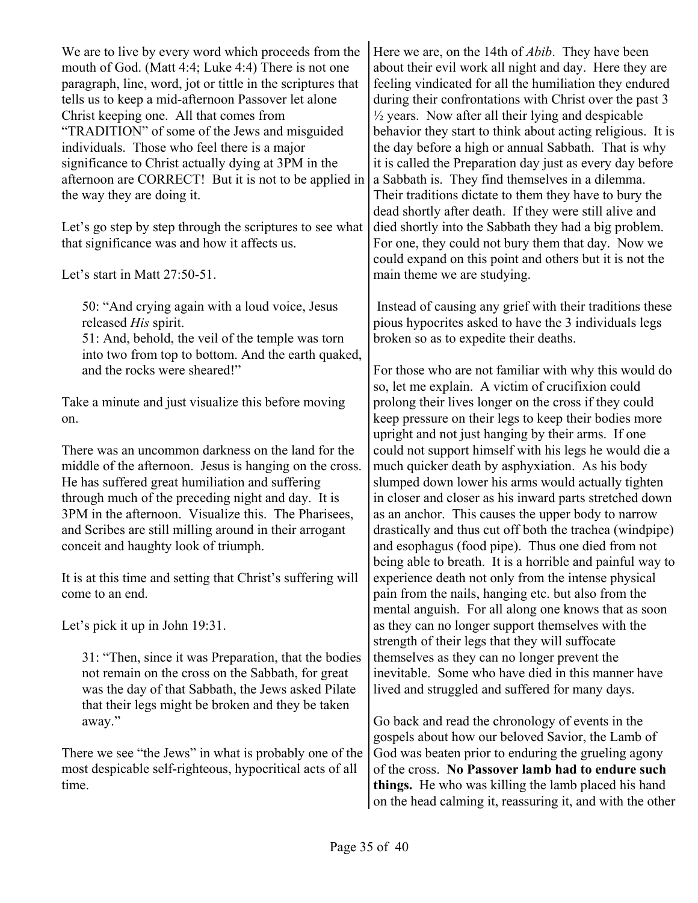We are to live by every word which proceeds from the mouth of God. (Matt 4:4; Luke 4:4) There is not one paragraph, line, word, jot or tittle in the scriptures that tells us to keep a mid-afternoon Passover let alone Christ keeping one. All that comes from "TRADITION" of some of the Jews and misguided individuals. Those who feel there is a major significance to Christ actually dying at 3PM in the afternoon are CORRECT! But it is not to be applied in the way they are doing it.

Let's go step by step through the scriptures to see what that significance was and how it affects us.

Let's start in Matt 27:50-51.

50: "And crying again with a loud voice, Jesus released *His* spirit.

51: And, behold, the veil of the temple was torn into two from top to bottom. And the earth quaked, and the rocks were sheared!"

Take a minute and just visualize this before moving on.

There was an uncommon darkness on the land for the middle of the afternoon. Jesus is hanging on the cross. He has suffered great humiliation and suffering through much of the preceding night and day. It is 3PM in the afternoon. Visualize this. The Pharisees, and Scribes are still milling around in their arrogant conceit and haughty look of triumph.

It is at this time and setting that Christ's suffering will come to an end.

Let's pick it up in John 19:31.

31: "Then, since it was Preparation, that the bodies not remain on the cross on the Sabbath, for great was the day of that Sabbath, the Jews asked Pilate that their legs might be broken and they be taken away."

There we see "the Jews" in what is probably one of the most despicable self-righteous, hypocritical acts of all time.

Here we are, on the 14th of *Abib*. They have been about their evil work all night and day. Here they are feeling vindicated for all the humiliation they endured during their confrontations with Christ over the past 3  $\frac{1}{2}$  years. Now after all their lying and despicable behavior they start to think about acting religious. It is the day before a high or annual Sabbath. That is why it is called the Preparation day just as every day before a Sabbath is. They find themselves in a dilemma. Their traditions dictate to them they have to bury the dead shortly after death. If they were still alive and died shortly into the Sabbath they had a big problem. For one, they could not bury them that day. Now we could expand on this point and others but it is not the main theme we are studying.

 Instead of causing any grief with their traditions these pious hypocrites asked to have the 3 individuals legs broken so as to expedite their deaths.

For those who are not familiar with why this would do so, let me explain. A victim of crucifixion could prolong their lives longer on the cross if they could keep pressure on their legs to keep their bodies more upright and not just hanging by their arms. If one could not support himself with his legs he would die a much quicker death by asphyxiation. As his body slumped down lower his arms would actually tighten in closer and closer as his inward parts stretched down as an anchor. This causes the upper body to narrow drastically and thus cut off both the trachea (windpipe) and esophagus (food pipe). Thus one died from not being able to breath. It is a horrible and painful way to experience death not only from the intense physical pain from the nails, hanging etc. but also from the mental anguish. For all along one knows that as soon as they can no longer support themselves with the strength of their legs that they will suffocate themselves as they can no longer prevent the inevitable. Some who have died in this manner have lived and struggled and suffered for many days.

Go back and read the chronology of events in the gospels about how our beloved Savior, the Lamb of God was beaten prior to enduring the grueling agony of the cross. **No Passover lamb had to endure such things.** He who was killing the lamb placed his hand on the head calming it, reassuring it, and with the other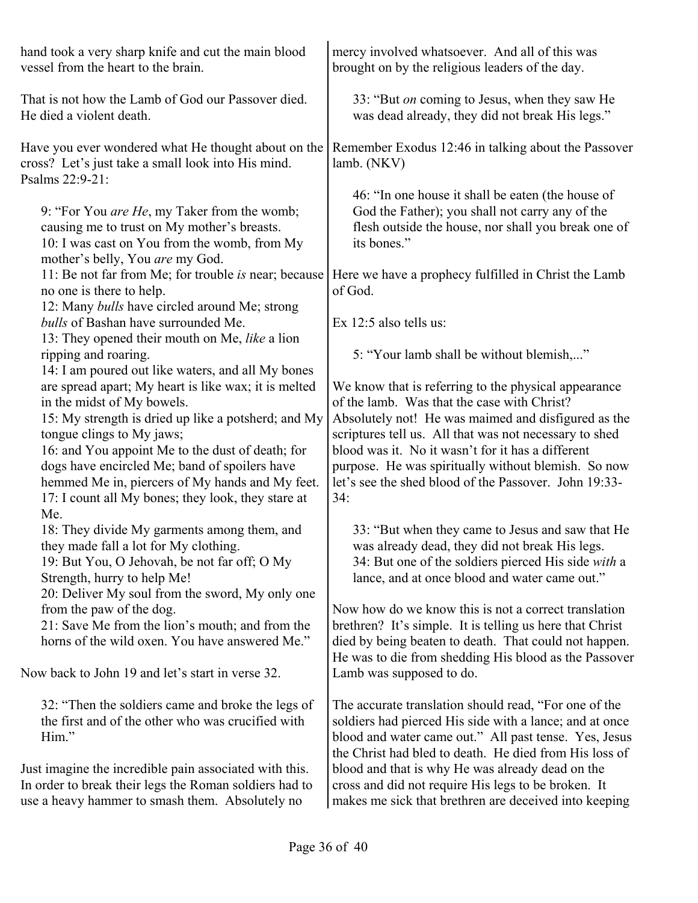| hand took a very sharp knife and cut the main blood<br>vessel from the heart to the brain.                                                                                                                                                                                                                                                                                                  | mercy involved whatsoever. And all of this was<br>brought on by the religious leaders of the day.                                                                                                                                                                                                                                                                                                |
|---------------------------------------------------------------------------------------------------------------------------------------------------------------------------------------------------------------------------------------------------------------------------------------------------------------------------------------------------------------------------------------------|--------------------------------------------------------------------------------------------------------------------------------------------------------------------------------------------------------------------------------------------------------------------------------------------------------------------------------------------------------------------------------------------------|
| That is not how the Lamb of God our Passover died.<br>He died a violent death.                                                                                                                                                                                                                                                                                                              | 33: "But on coming to Jesus, when they saw He<br>was dead already, they did not break His legs."                                                                                                                                                                                                                                                                                                 |
| Have you ever wondered what He thought about on the<br>cross? Let's just take a small look into His mind.<br>Psalms 22:9-21:                                                                                                                                                                                                                                                                | Remember Exodus 12:46 in talking about the Passover<br>lamb. (NKV)                                                                                                                                                                                                                                                                                                                               |
| 9: "For You are He, my Taker from the womb;<br>causing me to trust on My mother's breasts.<br>10: I was cast on You from the womb, from My<br>mother's belly, You are my God.                                                                                                                                                                                                               | 46: "In one house it shall be eaten (the house of<br>God the Father); you shall not carry any of the<br>flesh outside the house, nor shall you break one of<br>its bones."                                                                                                                                                                                                                       |
| 11: Be not far from Me; for trouble is near; because<br>no one is there to help.<br>12: Many bulls have circled around Me; strong                                                                                                                                                                                                                                                           | Here we have a prophecy fulfilled in Christ the Lamb<br>of God.                                                                                                                                                                                                                                                                                                                                  |
| bulls of Bashan have surrounded Me.<br>13: They opened their mouth on Me, like a lion                                                                                                                                                                                                                                                                                                       | Ex $12:5$ also tells us:                                                                                                                                                                                                                                                                                                                                                                         |
| ripping and roaring.<br>14: I am poured out like waters, and all My bones                                                                                                                                                                                                                                                                                                                   | 5: "Your lamb shall be without blemish,"                                                                                                                                                                                                                                                                                                                                                         |
| are spread apart; My heart is like wax; it is melted<br>in the midst of My bowels.<br>15: My strength is dried up like a potsherd; and My<br>tongue clings to My jaws;<br>16: and You appoint Me to the dust of death; for<br>dogs have encircled Me; band of spoilers have<br>hemmed Me in, piercers of My hands and My feet.<br>17: I count all My bones; they look, they stare at<br>Me. | We know that is referring to the physical appearance<br>of the lamb. Was that the case with Christ?<br>Absolutely not! He was maimed and disfigured as the<br>scriptures tell us. All that was not necessary to shed<br>blood was it. No it wasn't for it has a different<br>purpose. He was spiritually without blemish. So now<br>let's see the shed blood of the Passover. John 19:33-<br>34: |
| 18: They divide My garments among them, and<br>they made fall a lot for My clothing.<br>19: But You, O Jehovah, be not far off; O My<br>Strength, hurry to help Me!<br>20: Deliver My soul from the sword, My only one                                                                                                                                                                      | 33: "But when they came to Jesus and saw that He<br>was already dead, they did not break His legs.<br>34: But one of the soldiers pierced His side with a<br>lance, and at once blood and water came out."                                                                                                                                                                                       |
| from the paw of the dog.<br>21: Save Me from the lion's mouth; and from the<br>horns of the wild oxen. You have answered Me."                                                                                                                                                                                                                                                               | Now how do we know this is not a correct translation<br>brethren? It's simple. It is telling us here that Christ<br>died by being beaten to death. That could not happen.<br>He was to die from shedding His blood as the Passover                                                                                                                                                               |
| Now back to John 19 and let's start in verse 32.                                                                                                                                                                                                                                                                                                                                            | Lamb was supposed to do.                                                                                                                                                                                                                                                                                                                                                                         |
| 32: "Then the soldiers came and broke the legs of<br>the first and of the other who was crucified with<br>Him."                                                                                                                                                                                                                                                                             | The accurate translation should read, "For one of the<br>soldiers had pierced His side with a lance; and at once<br>blood and water came out." All past tense. Yes, Jesus<br>the Christ had bled to death. He died from His loss of                                                                                                                                                              |
| Just imagine the incredible pain associated with this.<br>In order to break their legs the Roman soldiers had to<br>use a heavy hammer to smash them. Absolutely no                                                                                                                                                                                                                         | blood and that is why He was already dead on the<br>cross and did not require His legs to be broken. It<br>makes me sick that brethren are deceived into keeping                                                                                                                                                                                                                                 |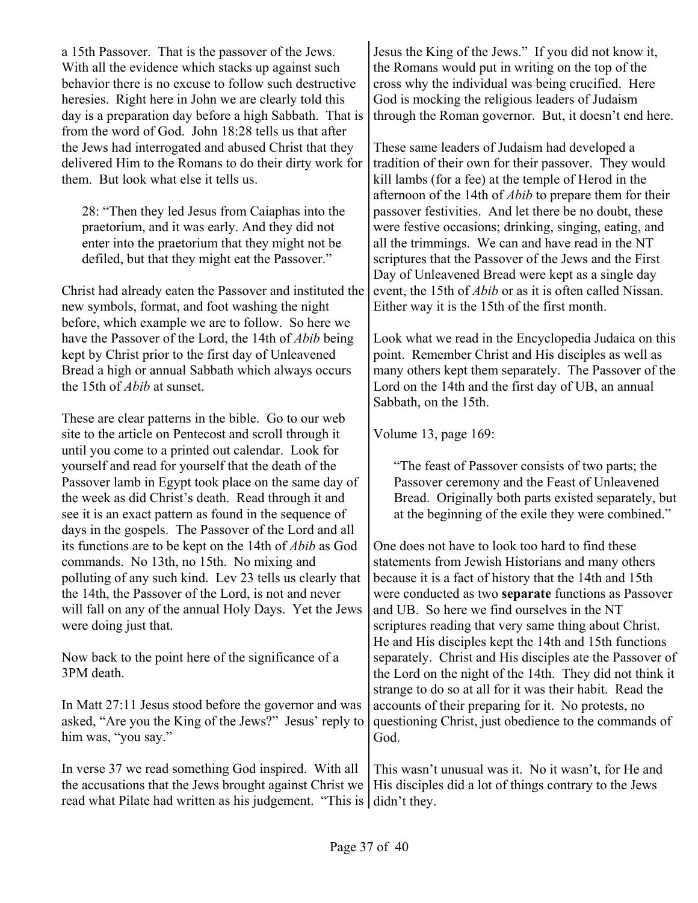a 15th Passover. That is the passover of the Jews. With all the evidence which stacks up against such behavior there is no excuse to follow such destructive heresies. Right here in John we are clearly told this day is a preparation day before a high Sabbath. That is from the word of God. John 18:28 tells us that after the Jews had interrogated and abused Christ that they delivered Him to the Romans to do their dirty work for them. But look what else it tells us.

28: "Then they led Jesus from Caiaphas into the praetorium, and it was early. And they did not enter into the praetorium that they might not be defiled, but that they might eat the Passover."

Christ had already eaten the Passover and instituted the new symbols, format, and foot washing the night before, which example we are to follow. So here we have the Passover of the Lord, the 14th of *Abib* being kept by Christ prior to the first day of Unleavened Bread a high or annual Sabbath which always occurs the 15th of *Abib* at sunset.

These are clear patterns in the bible. Go to our web site to the article on Pentecost and scroll through it until you come to a printed out calendar. Look for yourself and read for yourself that the death of the Passover lamb in Egypt took place on the same day of the week as did Christ's death. Read through it and see it is an exact pattern as found in the sequence of days in the gospels. The Passover of the Lord and all its functions are to be kept on the 14th of *Abib* as God commands. No 13th, no 15th. No mixing and polluting of any such kind. Lev 23 tells us clearly that the 14th, the Passover of the Lord, is not and never will fall on any of the annual Holy Days. Yet the Jews were doing just that.

Now back to the point here of the significance of a 3PM death.

In Matt 27:11 Jesus stood before the governor and was asked, "Are you the King of the Jews?" Jesus' reply to him was, "you say."

In verse 37 we read something God inspired. With all the accusations that the Jews brought against Christ we read what Pilate had written as his judgement. "This is didn't they.

Jesus the King of the Jews." If you did not know it, the Romans would put in writing on the top of the cross why the individual was being crucified. Here God is mocking the religious leaders of Judaism through the Roman governor. But, it doesn't end here.

These same leaders of Judaism had developed a tradition of their own for their passover. They would kill lambs (for a fee) at the temple of Herod in the afternoon of the 14th of *Abib* to prepare them for their passover festivities. And let there be no doubt, these were festive occasions; drinking, singing, eating, and all the trimmings. We can and have read in the NT scriptures that the Passover of the Jews and the First Day of Unleavened Bread were kept as a single day event, the 15th of *Abib* or as it is often called Nissan. Either way it is the 15th of the first month.

Look what we read in the Encyclopedia Judaica on this point. Remember Christ and His disciples as well as many others kept them separately. The Passover of the Lord on the 14th and the first day of UB, an annual Sabbath, on the 15th.

Volume 13, page 169:

"The feast of Passover consists of two parts; the Passover ceremony and the Feast of Unleavened Bread. Originally both parts existed separately, but at the beginning of the exile they were combined."

One does not have to look too hard to find these statements from Jewish Historians and many others because it is a fact of history that the 14th and 15th were conducted as two **separate** functions as Passover and UB. So here we find ourselves in the NT scriptures reading that very same thing about Christ. He and His disciples kept the 14th and 15th functions separately. Christ and His disciples ate the Passover of the Lord on the night of the 14th. They did not think it strange to do so at all for it was their habit. Read the accounts of their preparing for it. No protests, no questioning Christ, just obedience to the commands of God.

This wasn't unusual was it. No it wasn't, for He and His disciples did a lot of things contrary to the Jews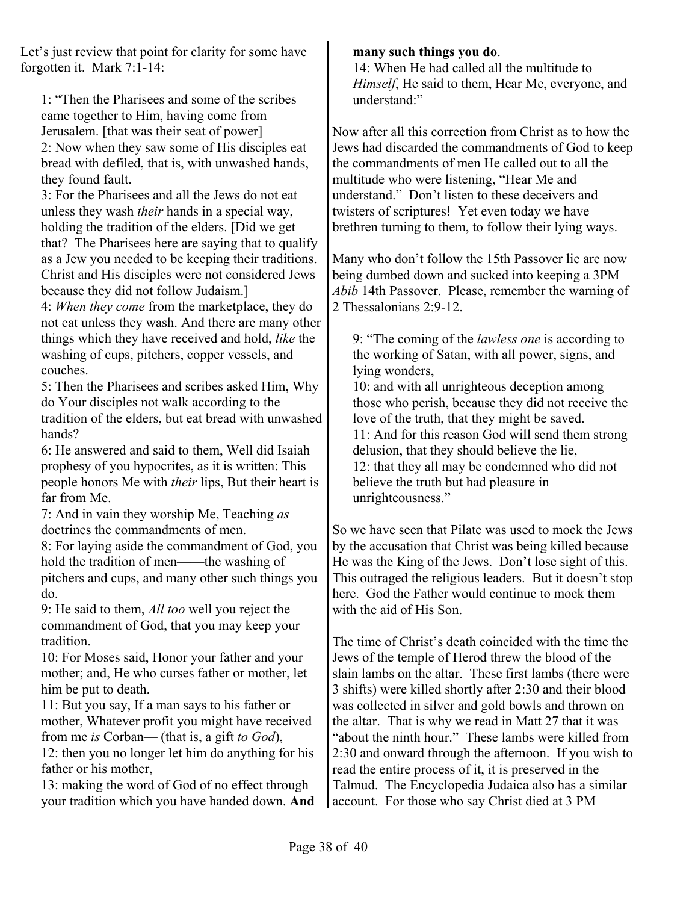Let's just review that point for clarity for some have forgotten it. Mark 7:1-14:

1: "Then the Pharisees and some of the scribes came together to Him, having come from Jerusalem. [that was their seat of power] 2: Now when they saw some of His disciples eat bread with defiled, that is, with unwashed hands, they found fault.

3: For the Pharisees and all the Jews do not eat unless they wash *their* hands in a special way, holding the tradition of the elders. [Did we get that? The Pharisees here are saying that to qualify as a Jew you needed to be keeping their traditions. Christ and His disciples were not considered Jews because they did not follow Judaism.]

4: *When they come* from the marketplace, they do not eat unless they wash. And there are many other things which they have received and hold, *like* the washing of cups, pitchers, copper vessels, and couches.

5: Then the Pharisees and scribes asked Him, Why do Your disciples not walk according to the tradition of the elders, but eat bread with unwashed hands?

6: He answered and said to them, Well did Isaiah prophesy of you hypocrites, as it is written: This people honors Me with *their* lips, But their heart is far from Me.

7: And in vain they worship Me, Teaching *as* doctrines the commandments of men.

8: For laying aside the commandment of God, you hold the tradition of men——the washing of pitchers and cups, and many other such things you do.

9: He said to them, *All too* well you reject the commandment of God, that you may keep your tradition.

10: For Moses said, Honor your father and your mother; and, He who curses father or mother, let him be put to death.

11: But you say, If a man says to his father or mother, Whatever profit you might have received from me *is* Corban— (that is, a gift *to God*),

12: then you no longer let him do anything for his father or his mother,

13: making the word of God of no effect through your tradition which you have handed down. **And**

#### **many such things you do**.

14: When He had called all the multitude to *Himself*, He said to them, Hear Me, everyone, and understand:"

Now after all this correction from Christ as to how the Jews had discarded the commandments of God to keep the commandments of men He called out to all the multitude who were listening, "Hear Me and understand." Don't listen to these deceivers and twisters of scriptures! Yet even today we have brethren turning to them, to follow their lying ways.

Many who don't follow the 15th Passover lie are now being dumbed down and sucked into keeping a 3PM *Abib* 14th Passover. Please, remember the warning of 2 Thessalonians 2:9-12.

9: "The coming of the *lawless one* is according to the working of Satan, with all power, signs, and lying wonders,

10: and with all unrighteous deception among those who perish, because they did not receive the love of the truth, that they might be saved. 11: And for this reason God will send them strong delusion, that they should believe the lie, 12: that they all may be condemned who did not believe the truth but had pleasure in unrighteousness."

So we have seen that Pilate was used to mock the Jews by the accusation that Christ was being killed because He was the King of the Jews. Don't lose sight of this. This outraged the religious leaders. But it doesn't stop here. God the Father would continue to mock them with the aid of His Son.

The time of Christ's death coincided with the time the Jews of the temple of Herod threw the blood of the slain lambs on the altar. These first lambs (there were 3 shifts) were killed shortly after 2:30 and their blood was collected in silver and gold bowls and thrown on the altar. That is why we read in Matt 27 that it was "about the ninth hour." These lambs were killed from 2:30 and onward through the afternoon. If you wish to read the entire process of it, it is preserved in the Talmud. The Encyclopedia Judaica also has a similar account. For those who say Christ died at 3 PM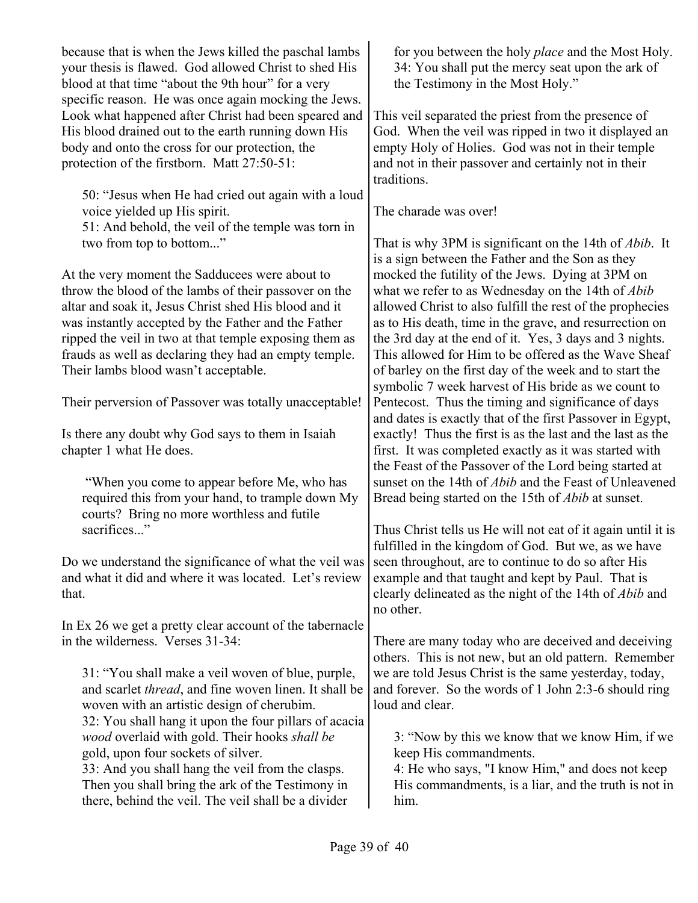because that is when the Jews killed the paschal lambs your thesis is flawed. God allowed Christ to shed His blood at that time "about the 9th hour" for a very specific reason. He was once again mocking the Jews. Look what happened after Christ had been speared and His blood drained out to the earth running down His body and onto the cross for our protection, the protection of the firstborn. Matt 27:50-51:

50: "Jesus when He had cried out again with a loud voice yielded up His spirit. 51: And behold, the veil of the temple was torn in two from top to bottom..."

At the very moment the Sadducees were about to throw the blood of the lambs of their passover on the altar and soak it, Jesus Christ shed His blood and it was instantly accepted by the Father and the Father ripped the veil in two at that temple exposing them as frauds as well as declaring they had an empty temple. Their lambs blood wasn't acceptable.

Their perversion of Passover was totally unacceptable!

Is there any doubt why God says to them in Isaiah chapter 1 what He does.

 "When you come to appear before Me, who has required this from your hand, to trample down My courts? Bring no more worthless and futile sacrifices."

Do we understand the significance of what the veil was and what it did and where it was located. Let's review that.

In Ex 26 we get a pretty clear account of the tabernacle in the wilderness. Verses 31-34:

31: "You shall make a veil woven of blue, purple, and scarlet *thread*, and fine woven linen. It shall be woven with an artistic design of cherubim. 32: You shall hang it upon the four pillars of acacia *wood* overlaid with gold. Their hooks *shall be* gold, upon four sockets of silver. 33: And you shall hang the veil from the clasps. Then you shall bring the ark of the Testimony in there, behind the veil. The veil shall be a divider

for you between the holy *place* and the Most Holy. 34: You shall put the mercy seat upon the ark of the Testimony in the Most Holy."

This veil separated the priest from the presence of God. When the veil was ripped in two it displayed an empty Holy of Holies. God was not in their temple and not in their passover and certainly not in their traditions.

The charade was over!

That is why 3PM is significant on the 14th of *Abib*. It is a sign between the Father and the Son as they mocked the futility of the Jews. Dying at 3PM on what we refer to as Wednesday on the 14th of *Abib* allowed Christ to also fulfill the rest of the prophecies as to His death, time in the grave, and resurrection on the 3rd day at the end of it. Yes, 3 days and 3 nights. This allowed for Him to be offered as the Wave Sheaf of barley on the first day of the week and to start the symbolic 7 week harvest of His bride as we count to Pentecost. Thus the timing and significance of days and dates is exactly that of the first Passover in Egypt, exactly! Thus the first is as the last and the last as the first. It was completed exactly as it was started with the Feast of the Passover of the Lord being started at sunset on the 14th of *Abib* and the Feast of Unleavened Bread being started on the 15th of *Abib* at sunset.

Thus Christ tells us He will not eat of it again until it is fulfilled in the kingdom of God. But we, as we have seen throughout, are to continue to do so after His example and that taught and kept by Paul. That is clearly delineated as the night of the 14th of *Abib* and no other.

There are many today who are deceived and deceiving others. This is not new, but an old pattern. Remember we are told Jesus Christ is the same yesterday, today, and forever. So the words of 1 John 2:3-6 should ring loud and clear.

3: "Now by this we know that we know Him, if we keep His commandments.

4: He who says, "I know Him," and does not keep His commandments, is a liar, and the truth is not in him.